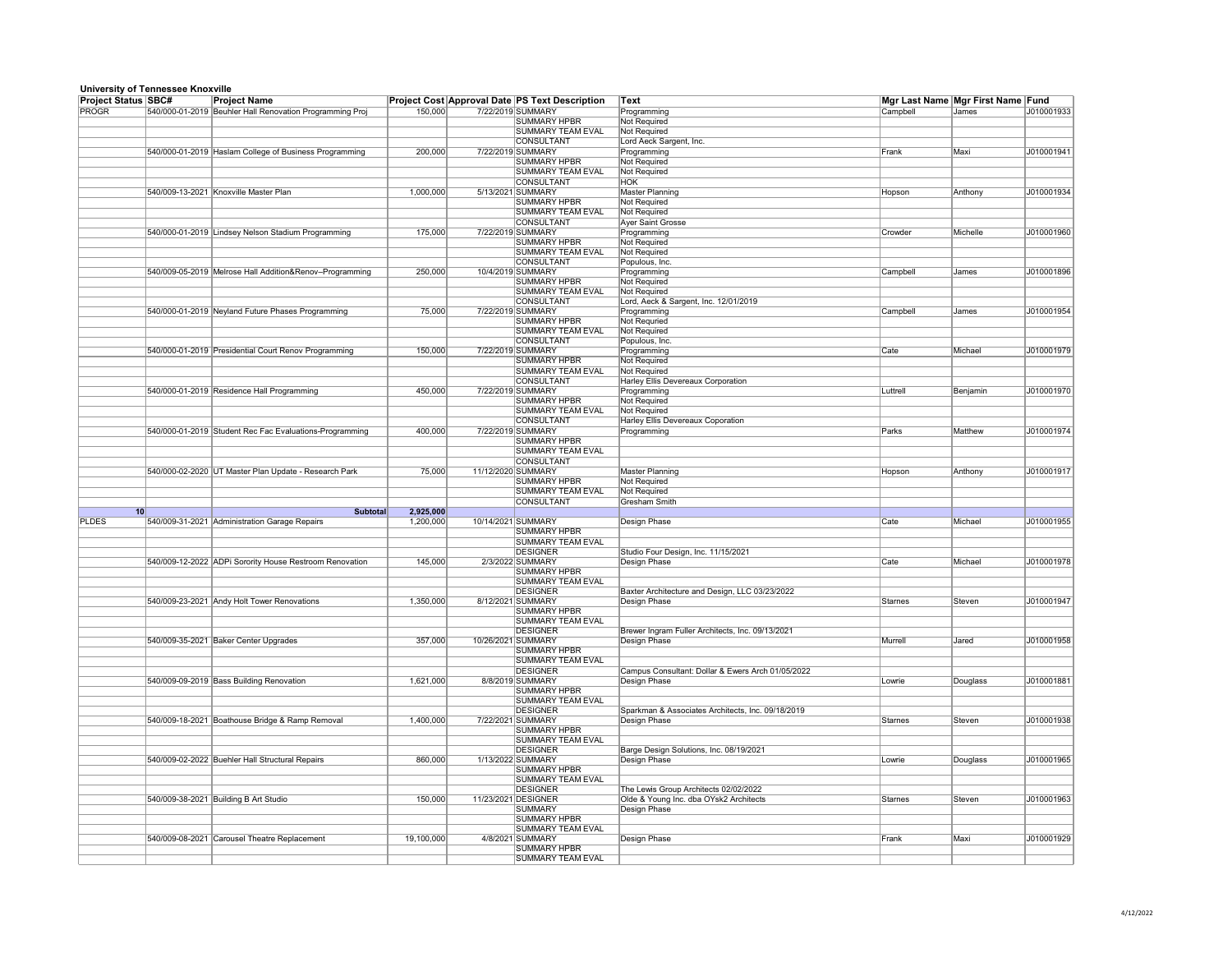| <b>Project Status SBC#</b> |    | <b>Project Name</b>                                      |            | <b>Project Cost Approval Date PS Text Description</b> | Text                                              | Mgr Last Name Mgr First Name Fund |          |            |
|----------------------------|----|----------------------------------------------------------|------------|-------------------------------------------------------|---------------------------------------------------|-----------------------------------|----------|------------|
| PROGR                      |    | 540/000-01-2019 Beuhler Hall Renovation Programming Proj | 150,000    | 7/22/2019 SUMMARY                                     | Programming                                       | Campbell                          | James    | J010001933 |
|                            |    |                                                          |            | <b>SUMMARY HPBR</b>                                   | <b>Not Required</b>                               |                                   |          |            |
|                            |    |                                                          |            | <b>SUMMARY TEAM EVAL</b>                              | Not Required                                      |                                   |          |            |
|                            |    | 540/000-01-2019 Haslam College of Business Programming   | 200,000    | <b>CONSULTANT</b><br>7/22/2019 SUMMARY                | Lord Aeck Sargent, Inc.<br>Programming            | Frank                             | Maxi     | J010001941 |
|                            |    |                                                          |            | <b>SUMMARY HPBR</b>                                   | <b>Not Required</b>                               |                                   |          |            |
|                            |    |                                                          |            | <b>SUMMARY TEAM EVAL</b>                              | Not Required                                      |                                   |          |            |
|                            |    |                                                          |            | <b>CONSULTANT</b>                                     | <b>HOK</b>                                        |                                   |          |            |
|                            |    | 540/009-13-2021 Knoxville Master Plan                    | 1,000,000  | 5/13/2021 SUMMARY                                     | <b>Master Planning</b>                            | Hopson                            | Anthony  | J010001934 |
|                            |    |                                                          |            | <b>SUMMARY HPBR</b>                                   | <b>Not Required</b>                               |                                   |          |            |
|                            |    |                                                          |            | <b>SUMMARY TEAM EVAL</b><br><b>CONSULTANT</b>         | <b>Not Required</b><br><b>Ayer Saint Grosse</b>   |                                   |          |            |
|                            |    | 540/000-01-2019 Lindsey Nelson Stadium Programming       | 175,000    | 7/22/2019 SUMMARY                                     | Programming                                       | Crowder                           | Michelle | J010001960 |
|                            |    |                                                          |            | <b>SUMMARY HPBR</b>                                   | Not Required                                      |                                   |          |            |
|                            |    |                                                          |            | <b>SUMMARY TEAM EVAL</b>                              | Not Required                                      |                                   |          |            |
|                            |    |                                                          |            | <b>CONSULTANT</b>                                     | Populous, Inc.                                    |                                   |          |            |
|                            |    | 540/009-05-2019 Melrose Hall Addition&Renov-Programming  | 250,000    | 10/4/2019 SUMMARY                                     | Programming                                       | Campbell                          | James    | J010001896 |
|                            |    |                                                          |            | <b>SUMMARY HPBR</b><br><b>SUMMARY TEAM EVAL</b>       | Not Required<br>Not Required                      |                                   |          |            |
|                            |    |                                                          |            | <b>CONSULTANT</b>                                     | Lord, Aeck & Sargent, Inc. 12/01/2019             |                                   |          |            |
|                            |    | 540/000-01-2019 Neyland Future Phases Programming        | 75,000     | 7/22/2019 SUMMARY                                     | Programming                                       | Campbell                          | James    | J010001954 |
|                            |    |                                                          |            | <b>SUMMARY HPBR</b>                                   | <b>Not Requried</b>                               |                                   |          |            |
|                            |    |                                                          |            | <b>SUMMARY TEAM EVAL</b>                              | <b>Not Required</b>                               |                                   |          |            |
|                            |    |                                                          |            | <b>CONSULTANT</b>                                     | Populous, Inc.                                    |                                   |          |            |
|                            |    | 540/000-01-2019 Presidential Court Renov Programming     | 150,000    | 7/22/2019 SUMMARY                                     | Programming                                       | Cate                              | Michael  | J010001979 |
|                            |    |                                                          |            | <b>SUMMARY HPBR</b><br><b>SUMMARY TEAM EVAL</b>       | Not Required<br><b>Not Required</b>               |                                   |          |            |
|                            |    |                                                          |            | CONSULTANT                                            | <b>Harley Ellis Devereaux Corporation</b>         |                                   |          |            |
|                            |    | 540/000-01-2019 Residence Hall Programming               | 450,000    | 7/22/2019 SUMMARY                                     | Programming                                       | Luttrell                          | Benjamin | J010001970 |
|                            |    |                                                          |            | <b>SUMMARY HPBR</b>                                   | <b>Not Required</b>                               |                                   |          |            |
|                            |    |                                                          |            | <b>SUMMARY TEAM EVAL</b>                              | <b>Not Required</b>                               |                                   |          |            |
|                            |    |                                                          |            | <b>CONSULTANT</b>                                     | <b>Harley Ellis Devereaux Coporation</b>          |                                   |          |            |
|                            |    | 540/000-01-2019 Student Rec Fac Evaluations-Programming  | 400,000    | 7/22/2019 SUMMARY                                     | Programming                                       | Parks                             | Matthew  | J010001974 |
|                            |    |                                                          |            | <b>SUMMARY HPBR</b>                                   |                                                   |                                   |          |            |
|                            |    |                                                          |            | <b>SUMMARY TEAM EVAL</b><br><b>CONSULTANT</b>         |                                                   |                                   |          |            |
|                            |    | 540/000-02-2020 UT Master Plan Update - Research Park    | 75,000     | 11/12/2020 SUMMARY                                    | <b>Master Planning</b>                            | Hopson                            | Anthony  | J010001917 |
|                            |    |                                                          |            | <b>SUMMARY HPBR</b>                                   | Not Required                                      |                                   |          |            |
|                            |    |                                                          |            | <b>SUMMARY TEAM EVAL</b>                              | <b>Not Required</b>                               |                                   |          |            |
|                            |    |                                                          |            | <b>CONSULTANT</b>                                     | <b>Gresham Smith</b>                              |                                   |          |            |
|                            | 10 | <b>Subtotal</b>                                          | 2,925,000  |                                                       |                                                   |                                   |          |            |
| <b>PLDES</b>               |    | 540/009-31-2021 Administration Garage Repairs            | 1,200,000  | 10/14/2021 SUMMARY<br><b>SUMMARY HPBR</b>             | Design Phase                                      | Cate                              | Michael  | J010001955 |
|                            |    |                                                          |            | <b>SUMMARY TEAM EVAL</b>                              |                                                   |                                   |          |            |
|                            |    |                                                          |            | <b>DESIGNER</b>                                       | Studio Four Design, Inc. 11/15/2021               |                                   |          |            |
|                            |    | 540/009-12-2022 ADPi Sorority House Restroom Renovation  | 145,000    | 2/3/2022 SUMMARY                                      | Design Phase                                      | Cate                              | Michael  | J010001978 |
|                            |    |                                                          |            | <b>SUMMARY HPBR</b>                                   |                                                   |                                   |          |            |
|                            |    |                                                          |            | <b>SUMMARY TEAM EVAL</b>                              |                                                   |                                   |          |            |
|                            |    |                                                          |            | <b>DESIGNER</b>                                       | Baxter Architecture and Design, LLC 03/23/2022    |                                   |          |            |
|                            |    | 540/009-23-2021 Andy Holt Tower Renovations              | 1,350,000  | 8/12/2021 SUMMARY                                     | Design Phase                                      | Starnes                           | Steven   | J010001947 |
|                            |    |                                                          |            | <b>SUMMARY HPBR</b><br><b>SUMMARY TEAM EVAL</b>       |                                                   |                                   |          |            |
|                            |    |                                                          |            | <b>DESIGNER</b>                                       | Brewer Ingram Fuller Architects, Inc. 09/13/2021  |                                   |          |            |
|                            |    | 540/009-35-2021 Baker Center Upgrades                    | 357,000    | 10/26/2021 SUMMARY                                    | Design Phase                                      | Murrell                           | Jared    | J010001958 |
|                            |    |                                                          |            | <b>SUMMARY HPBR</b>                                   |                                                   |                                   |          |            |
|                            |    |                                                          |            | <b>SUMMARY TEAM EVAL</b>                              |                                                   |                                   |          |            |
|                            |    |                                                          |            | <b>DESIGNER</b>                                       | Campus Consultant: Dollar & Ewers Arch 01/05/2022 |                                   |          |            |
|                            |    | 540/009-09-2019 Bass Building Renovation                 | 1,621,000  | 8/8/2019 SUMMARY                                      | Design Phase                                      | Lowrie                            | Douglass | J010001881 |
|                            |    |                                                          |            | SUMMARY HPBR<br><b>SUMMARY TEAM EVAL</b>              |                                                   |                                   |          |            |
|                            |    |                                                          |            | <b>DESIGNER</b>                                       | Sparkman & Associates Architects, Inc. 09/18/2019 |                                   |          |            |
|                            |    | 540/009-18-2021 Boathouse Bridge & Ramp Removal          | 1,400,000  | 7/22/2021 SUMMARY                                     | Design Phase                                      | Starnes                           | Steven   | J010001938 |
|                            |    |                                                          |            | <b>SUMMARY HPBR</b>                                   |                                                   |                                   |          |            |
|                            |    |                                                          |            | <b>SUMMARY TEAM EVAL</b>                              |                                                   |                                   |          |            |
|                            |    |                                                          |            | <b>DESIGNER</b>                                       | Barge Design Solutions, Inc. 08/19/2021           |                                   |          |            |
|                            |    | 540/009-02-2022 Buehler Hall Structural Repairs          | 860,000    | 1/13/2022 SUMMARY<br><b>SUMMARY HPBR</b>              | Design Phase                                      | Lowrie                            | Douglass | J010001965 |
|                            |    |                                                          |            | <b>SUMMARY TEAM EVAL</b>                              |                                                   |                                   |          |            |
|                            |    |                                                          |            | <b>DESIGNER</b>                                       | The Lewis Group Architects 02/02/2022             |                                   |          |            |
|                            |    | 540/009-38-2021 Building B Art Studio                    | 150,000    | 11/23/2021 DESIGNER                                   | Olde & Young Inc. dba OYsk2 Architects            | Starnes                           | Steven   | J010001963 |
|                            |    |                                                          |            | <b>SUMMARY</b>                                        | Design Phase                                      |                                   |          |            |
|                            |    |                                                          |            | <b>SUMMARY HPBR</b>                                   |                                                   |                                   |          |            |
|                            |    |                                                          |            | <b>SUMMARY TEAM EVAL</b>                              |                                                   |                                   |          |            |
|                            |    | 540/009-08-2021 Carousel Theatre Replacement             | 19,100,000 | 4/8/2021 SUMMARY<br><b>SUMMARY HPBR</b>               | Design Phase                                      | Frank                             | Maxi     | J010001929 |
|                            |    |                                                          |            | <b>SUMMARY TEAM EVAL</b>                              |                                                   |                                   |          |            |
|                            |    |                                                          |            |                                                       |                                                   |                                   |          |            |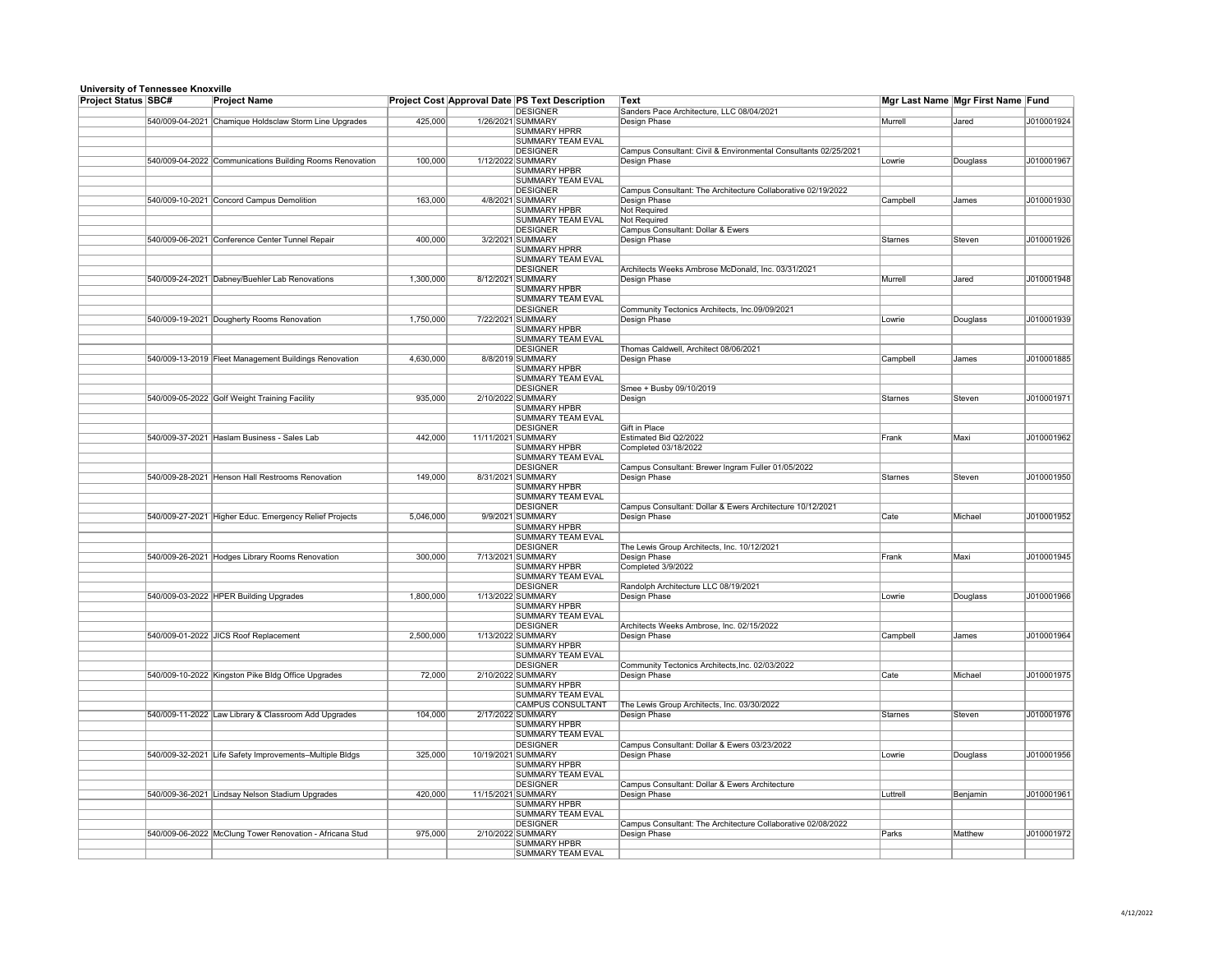| <b>Project Status SBC#</b> | omvoidity of Tomicodec Knoxving | <b>Project Name</b>                                      |           | Project Cost Approval Date PS Text Description  | Mgr Last Name Mgr First Name Fund<br><b>Text</b>                |           |              |            |
|----------------------------|---------------------------------|----------------------------------------------------------|-----------|-------------------------------------------------|-----------------------------------------------------------------|-----------|--------------|------------|
|                            |                                 |                                                          |           | <b>DESIGNER</b>                                 | Sanders Pace Architecture, LLC 08/04/2021                       |           |              |            |
|                            |                                 | 540/009-04-2021 Chamique Holdsclaw Storm Line Upgrades   | 425,000   | 1/26/2021 SUMMARY                               | Design Phase                                                    | Murrell   | <b>Jared</b> | J010001924 |
|                            |                                 |                                                          |           | <b>SUMMARY HPRR</b>                             |                                                                 |           |              |            |
|                            |                                 |                                                          |           | <b>SUMMARY TEAM EVAL</b>                        |                                                                 |           |              |            |
|                            |                                 |                                                          |           | <b>DESIGNER</b>                                 | Campus Consultant: Civil & Environmental Consultants 02/25/2021 |           |              |            |
|                            |                                 | 540/009-04-2022 Communications Building Rooms Renovation | 100,000   | 1/12/2022 SUMMARY                               | Design Phase                                                    | Lowrie    | Douglass     | J010001967 |
|                            |                                 |                                                          |           | <b>SUMMARY HPBR</b>                             |                                                                 |           |              |            |
|                            |                                 |                                                          |           | <b>SUMMARY TEAM EVAL</b><br><b>DESIGNER</b>     | Campus Consultant: The Architecture Collaborative 02/19/2022    |           |              |            |
|                            |                                 | 540/009-10-2021 Concord Campus Demolition                | 163,000   | 4/8/2021 SUMMARY                                | Design Phase                                                    | Campbell  | <b>James</b> | J010001930 |
|                            |                                 |                                                          |           | <b>SUMMARY HPBR</b>                             | <b>Not Required</b>                                             |           |              |            |
|                            |                                 |                                                          |           | <b>SUMMARY TEAM EVAL</b>                        | <b>Not Required</b>                                             |           |              |            |
|                            |                                 |                                                          |           | <b>DESIGNER</b>                                 | <b>Campus Consultant: Dollar &amp; Ewers</b>                    |           |              |            |
|                            |                                 | 540/009-06-2021 Conference Center Tunnel Repair          | 400,000   | 3/2/2021 SUMMARY                                | Design Phase                                                    | Starnes   | Steven       | J010001926 |
|                            |                                 |                                                          |           | <b>SUMMARY HPRR</b>                             |                                                                 |           |              |            |
|                            |                                 |                                                          |           | <b>SUMMARY TEAM EVAL</b>                        |                                                                 |           |              |            |
|                            |                                 |                                                          |           | <b>DESIGNER</b>                                 | Architects Weeks Ambrose McDonald, Inc. 03/31/2021              |           |              |            |
|                            |                                 | 540/009-24-2021 Dabney/Buehler Lab Renovations           | 1,300,000 | 8/12/2021 SUMMARY                               | Design Phase                                                    | Murrell   | Jared        | J010001948 |
|                            |                                 |                                                          |           | <b>SUMMARY HPBR</b>                             |                                                                 |           |              |            |
|                            |                                 |                                                          |           | <b>SUMMARY TEAM EVAL</b>                        |                                                                 |           |              |            |
|                            |                                 |                                                          |           | <b>DESIGNER</b>                                 | Community Tectonics Architects, Inc.09/09/2021                  |           |              |            |
|                            |                                 | 540/009-19-2021 Dougherty Rooms Renovation               | 1,750,000 | 7/22/2021 SUMMARY                               | Design Phase                                                    | Lowrie    | Douglass     | J010001939 |
|                            |                                 |                                                          |           | <b>SUMMARY HPBR</b>                             |                                                                 |           |              |            |
|                            |                                 |                                                          |           | <b>SUMMARY TEAM EVAL</b>                        |                                                                 |           |              |            |
|                            |                                 |                                                          |           | <b>DESIGNER</b>                                 | Thomas Caldwell, Architect 08/06/2021                           |           |              |            |
|                            |                                 | 540/009-13-2019 Fleet Management Buildings Renovation    | 4,630,000 | 8/8/2019 SUMMARY                                | Design Phase                                                    | Campbell  | <b>James</b> | J010001885 |
|                            |                                 |                                                          |           | <b>SUMMARY HPBR</b>                             |                                                                 |           |              |            |
|                            |                                 |                                                          |           | <b>SUMMARY TEAM EVAL</b>                        |                                                                 |           |              |            |
|                            |                                 | 540/009-05-2022 Golf Weight Training Facility            |           | <b>DESIGNER</b><br>2/10/2022 SUMMARY            | Smee + Busby 09/10/2019                                         | Starnes   | Steven       |            |
|                            |                                 |                                                          | 935,000   | <b>SUMMARY HPBR</b>                             | Design                                                          |           |              | J010001971 |
|                            |                                 |                                                          |           | <b>SUMMARY TEAM EVAL</b>                        |                                                                 |           |              |            |
|                            |                                 |                                                          |           | <b>DESIGNER</b>                                 | <b>Gift in Place</b>                                            |           |              |            |
|                            |                                 | 540/009-37-2021 Haslam Business - Sales Lab              | 442,000   | 11/11/2021 SUMMARY                              | <b>Estimated Bid Q2/2022</b>                                    | $ $ Frank | Maxi         | J010001962 |
|                            |                                 |                                                          |           | <b>SUMMARY HPBR</b>                             | Completed 03/18/2022                                            |           |              |            |
|                            |                                 |                                                          |           | <b>SUMMARY TEAM EVAL</b>                        |                                                                 |           |              |            |
|                            |                                 |                                                          |           | <b>DESIGNER</b>                                 | Campus Consultant: Brewer Ingram Fuller 01/05/2022              |           |              |            |
|                            |                                 | 540/009-28-2021 Henson Hall Restrooms Renovation         | 149,000   | 8/31/2021 SUMMARY                               | Design Phase                                                    | Starnes   | Steven       | J010001950 |
|                            |                                 |                                                          |           | <b>SUMMARY HPBR</b>                             |                                                                 |           |              |            |
|                            |                                 |                                                          |           | <b>SUMMARY TEAM EVAL</b>                        |                                                                 |           |              |            |
|                            |                                 |                                                          |           | <b>DESIGNER</b>                                 | Campus Consultant: Dollar & Ewers Architecture 10/12/2021       |           |              |            |
|                            |                                 | 540/009-27-2021 Higher Educ. Emergency Relief Projects   | 5,046,000 | 9/9/2021 SUMMARY                                | Design Phase                                                    | Cate      | Michael      | J010001952 |
|                            |                                 |                                                          |           | <b>SUMMARY HPBR</b>                             |                                                                 |           |              |            |
|                            |                                 |                                                          |           | <b>SUMMARY TEAM EVAL</b>                        |                                                                 |           |              |            |
|                            |                                 |                                                          |           | <b>DESIGNER</b>                                 | The Lewis Group Architects, Inc. 10/12/2021                     |           |              |            |
|                            |                                 | 540/009-26-2021 Hodges Library Rooms Renovation          | 300,000   | 7/13/2021 SUMMARY                               | Design Phase                                                    | Frank     | Maxi         | J010001945 |
|                            |                                 |                                                          |           | <b>SUMMARY HPBR</b>                             | Completed 3/9/2022                                              |           |              |            |
|                            |                                 |                                                          |           | <b>SUMMARY TEAM EVAL</b>                        |                                                                 |           |              |            |
|                            |                                 |                                                          |           | <b>DESIGNER</b>                                 | Randolph Architecture LLC 08/19/2021                            |           |              |            |
|                            |                                 | 540/009-03-2022 HPER Building Upgrades                   | 1,800,000 | 1/13/2022 SUMMARY                               | <b>Design Phase</b>                                             | Lowrie    | Douglass     | J010001966 |
|                            |                                 |                                                          |           | <b>SUMMARY HPBR</b>                             |                                                                 |           |              |            |
|                            |                                 |                                                          |           | <b>SUMMARY TEAM EVAL</b>                        |                                                                 |           |              |            |
|                            |                                 | 540/009-01-2022 JICS Roof Replacement                    |           | <b>DESIGNER</b><br>1/13/2022 SUMMARY            | Architects Weeks Ambrose, Inc. 02/15/2022                       |           |              |            |
|                            |                                 |                                                          | 2,500,000 | <b>SUMMARY HPBR</b>                             | Design Phase                                                    | Campbell  | <b>James</b> | J010001964 |
|                            |                                 |                                                          |           | <b>SUMMARY TEAM EVAL</b>                        |                                                                 |           |              |            |
|                            |                                 |                                                          |           | <b>DESIGNER</b>                                 | Community Tectonics Architects, Inc. 02/03/2022                 |           |              |            |
|                            |                                 | 540/009-10-2022 Kingston Pike Bldg Office Upgrades       | 72,000    | 2/10/2022 SUMMARY                               | Design Phase                                                    | Cate      | Michael      | J010001975 |
|                            |                                 |                                                          |           | <b>SUMMARY HPBR</b>                             |                                                                 |           |              |            |
|                            |                                 |                                                          |           | SUMMARY TEAM EVAL                               |                                                                 |           |              |            |
|                            |                                 |                                                          |           | <b>CAMPUS CONSULTANT</b>                        | The Lewis Group Architects, Inc. 03/30/2022                     |           |              |            |
|                            |                                 | 540/009-11-2022 Law Library & Classroom Add Upgrades     | 104,000   | 2/17/2022 SUMMARY                               | Design Phase                                                    | Starnes   | Steven       | J010001976 |
|                            |                                 |                                                          |           | <b>SUMMARY HPBR</b>                             |                                                                 |           |              |            |
|                            |                                 |                                                          |           | <b>SUMMARY TEAM EVAL</b>                        |                                                                 |           |              |            |
|                            |                                 |                                                          |           | <b>DESIGNER</b>                                 | Campus Consultant: Dollar & Ewers 03/23/2022                    |           |              |            |
|                            |                                 | 540/009-32-2021 Life Safety Improvements-Multiple Bldgs  | 325,000   | 10/19/2021 SUMMARY                              | Design Phase                                                    | Lowrie    | Douglass     | J010001956 |
|                            |                                 |                                                          |           | <b>SUMMARY HPBR</b>                             |                                                                 |           |              |            |
|                            |                                 |                                                          |           | <b>SUMMARY TEAM EVAL</b>                        |                                                                 |           |              |            |
|                            |                                 |                                                          |           | <b>DESIGNER</b>                                 | Campus Consultant: Dollar & Ewers Architecture                  |           |              |            |
|                            |                                 | 540/009-36-2021 Lindsay Nelson Stadium Upgrades          | 420,000   | 11/15/2021 SUMMARY                              | Design Phase                                                    | Luttrell  | Benjamin     | J010001961 |
|                            |                                 |                                                          |           | <b>SUMMARY HPBR</b>                             |                                                                 |           |              |            |
|                            |                                 |                                                          |           | <b>SUMMARY TEAM EVAL</b>                        |                                                                 |           |              |            |
|                            |                                 |                                                          |           | <b>DESIGNER</b>                                 | Campus Consultant: The Architecture Collaborative 02/08/2022    |           |              |            |
|                            |                                 | 540/009-06-2022 McClung Tower Renovation - Africana Stud | 975,000   | 2/10/2022 SUMMARY                               | Design Phase                                                    | Parks     | Matthew      | J010001972 |
|                            |                                 |                                                          |           | <b>SUMMARY HPBR</b><br><b>SUMMARY TEAM EVAL</b> |                                                                 |           |              |            |
|                            |                                 |                                                          |           |                                                 |                                                                 |           |              |            |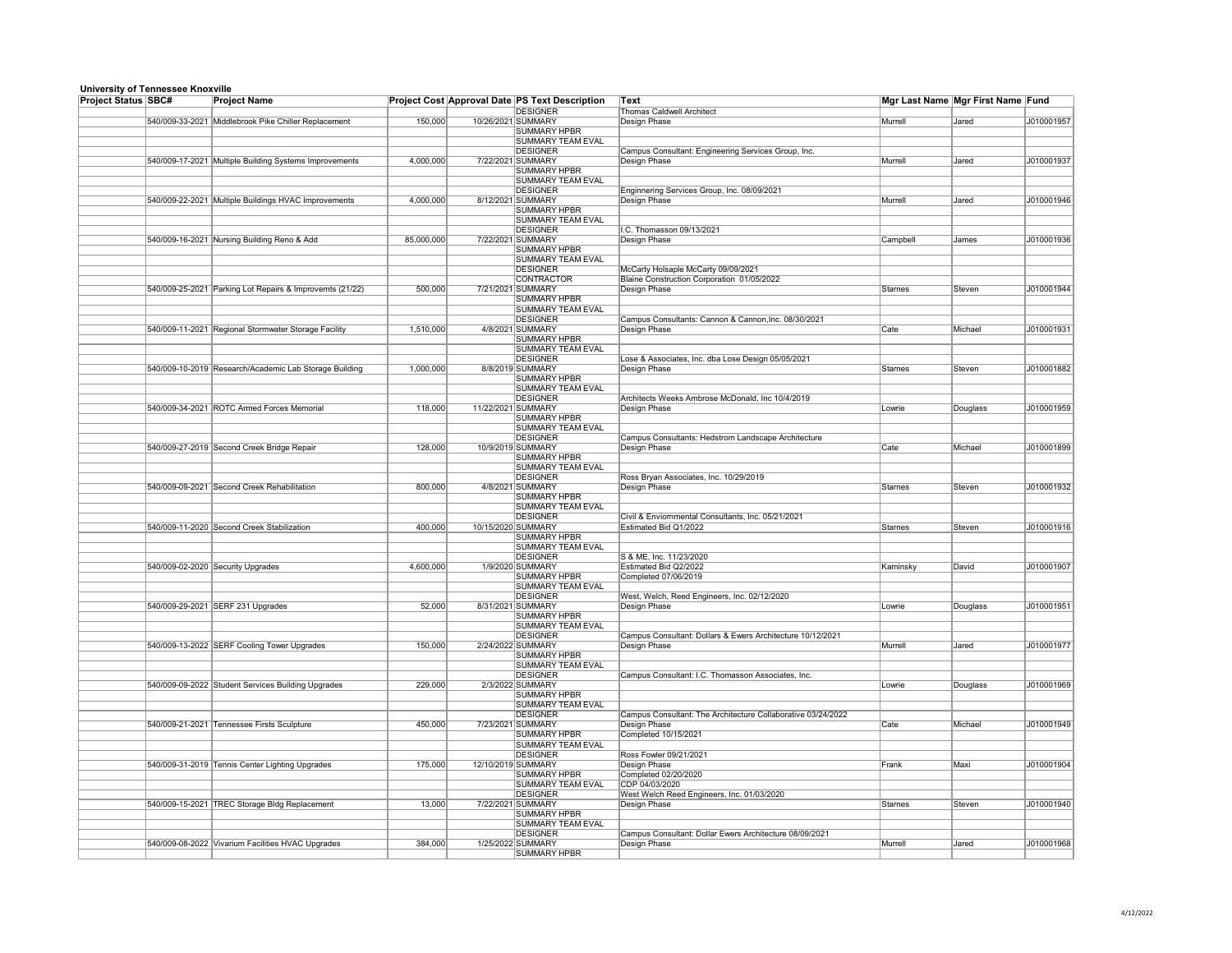| omversity of reimessee Knownie<br><b>Project Status SBC#</b> |                 | <b>Project Name</b>                                    | Project Cost Approval Date PS Text Description |  |                                             | <b>Text</b>                                                                       | Mgr Last Name Mgr First Name Fund |              |            |
|--------------------------------------------------------------|-----------------|--------------------------------------------------------|------------------------------------------------|--|---------------------------------------------|-----------------------------------------------------------------------------------|-----------------------------------|--------------|------------|
|                                                              |                 |                                                        |                                                |  | DESIGNER                                    | <b>Thomas Caldwell Architect</b>                                                  |                                   |              |            |
|                                                              |                 | 540/009-33-2021 Middlebrook Pike Chiller Replacement   | 150,000                                        |  | 10/26/2021 SUMMARY                          | Design Phase                                                                      | Murrell                           | Jared        | J010001957 |
|                                                              |                 |                                                        |                                                |  | <b>SUMMARY HPBR</b>                         |                                                                                   |                                   |              |            |
|                                                              |                 |                                                        |                                                |  | SUMMARY TEAM EVAL                           |                                                                                   |                                   |              |            |
|                                                              |                 |                                                        |                                                |  | <b>DESIGNER</b>                             | Campus Consultant: Engineering Services Group, Inc.                               |                                   |              |            |
|                                                              |                 | 540/009-17-2021 Multiple Building Systems Improvements | 4,000,000                                      |  | 7/22/2021 SUMMARY<br><b>SUMMARY HPBR</b>    | Design Phase                                                                      | Murrell                           | Jared        | J010001937 |
|                                                              |                 |                                                        |                                                |  | SUMMARY TEAM EVAL                           |                                                                                   |                                   |              |            |
|                                                              |                 |                                                        |                                                |  | <b>DESIGNER</b>                             | Enginnering Services Group, Inc. 08/09/2021                                       |                                   |              |            |
|                                                              |                 | 540/009-22-2021 Multiple Buildings HVAC Improvements   | 4,000,000                                      |  | 8/12/2021 SUMMARY                           | Design Phase                                                                      | Murrell                           | Jared        | J010001946 |
|                                                              |                 |                                                        |                                                |  | SUMMARY HPBR                                |                                                                                   |                                   |              |            |
|                                                              |                 |                                                        |                                                |  | <b>SUMMARY TEAM EVAL</b>                    |                                                                                   |                                   |              |            |
|                                                              |                 |                                                        |                                                |  | <b>DESIGNER</b>                             | I.C. Thomasson 09/13/2021                                                         |                                   |              |            |
|                                                              |                 | 540/009-16-2021 Nursing Building Reno & Add            | 85,000,000                                     |  | 7/22/2021 SUMMARY                           | Design Phase                                                                      | Campbell                          | <b>James</b> | J010001936 |
|                                                              |                 |                                                        |                                                |  | <b>SUMMARY HPBR</b>                         |                                                                                   |                                   |              |            |
|                                                              |                 |                                                        |                                                |  | <b>SUMMARY TEAM EVAL</b><br><b>DESIGNER</b> |                                                                                   |                                   |              |            |
|                                                              |                 |                                                        |                                                |  | <b>CONTRACTOR</b>                           | McCarty Holsaple McCarty 09/09/2021<br>Blaine Construction Corporation 01/05/2022 |                                   |              |            |
|                                                              | 540/009-25-2021 | Parking Lot Repairs & Improvemts (21/22)               | 500,000                                        |  | 7/21/2021 SUMMARY                           | Design Phase                                                                      | Starnes                           | Steven       | J010001944 |
|                                                              |                 |                                                        |                                                |  | <b>SUMMARY HPBR</b>                         |                                                                                   |                                   |              |            |
|                                                              |                 |                                                        |                                                |  | SUMMARY TEAM EVAL                           |                                                                                   |                                   |              |            |
|                                                              |                 |                                                        |                                                |  | <b>DESIGNER</b>                             | Campus Consultants: Cannon & Cannon, Inc. 08/30/2021                              |                                   |              |            |
|                                                              |                 | 540/009-11-2021 Regional Stormwater Storage Facility   | 1,510,000                                      |  | 4/8/2021 SUMMARY                            | Design Phase                                                                      | Cate                              | Michael      | J010001931 |
|                                                              |                 |                                                        |                                                |  | <b>SUMMARY HPBR</b>                         |                                                                                   |                                   |              |            |
|                                                              |                 |                                                        |                                                |  | <b>SUMMARY TEAM EVAL</b>                    |                                                                                   |                                   |              |            |
|                                                              |                 |                                                        |                                                |  | <b>DESIGNER</b>                             | Lose & Associates, Inc. dba Lose Design 05/05/2021                                |                                   |              |            |
|                                                              |                 | 540/009-10-2019 Research/Academic Lab Storage Building | 1,000,000                                      |  | 8/8/2019 SUMMARY                            | Design Phase                                                                      | Starnes                           | Steven       | J010001882 |
|                                                              |                 |                                                        |                                                |  | <b>SUMMARY HPBR</b>                         |                                                                                   |                                   |              |            |
|                                                              |                 |                                                        |                                                |  | SUMMARY TEAM EVAL<br>DESIGNER               | Architects Weeks Ambrose McDonald, Inc 10/4/2019                                  |                                   |              |            |
|                                                              |                 | 540/009-34-2021 ROTC Armed Forces Memorial             | 118,000                                        |  | 11/22/2021 SUMMARY                          | Design Phase                                                                      | Lowrie                            | Douglass     | J010001959 |
|                                                              |                 |                                                        |                                                |  | <b>SUMMARY HPBR</b>                         |                                                                                   |                                   |              |            |
|                                                              |                 |                                                        |                                                |  | <b>SUMMARY TEAM EVAL</b>                    |                                                                                   |                                   |              |            |
|                                                              |                 |                                                        |                                                |  | <b>DESIGNER</b>                             | Campus Consultants: Hedstrom Landscape Architecture                               |                                   |              |            |
|                                                              |                 | 540/009-27-2019 Second Creek Bridge Repair             | 128,000                                        |  | 10/9/2019 SUMMARY                           | Design Phase                                                                      | Cate                              | Michael      | J010001899 |
|                                                              |                 |                                                        |                                                |  | <b>SUMMARY HPBR</b>                         |                                                                                   |                                   |              |            |
|                                                              |                 |                                                        |                                                |  | <b>SUMMARY TEAM EVAL</b>                    |                                                                                   |                                   |              |            |
|                                                              |                 |                                                        |                                                |  | <b>DESIGNER</b>                             | Ross Bryan Associates, Inc. 10/29/2019                                            |                                   |              |            |
|                                                              |                 | 540/009-09-2021 Second Creek Rehabilitation            | 800,000                                        |  | 4/8/2021 SUMMARY                            | Design Phase                                                                      | Starnes                           | Steven       | J010001932 |
|                                                              |                 |                                                        |                                                |  | <b>SUMMARY HPBR</b>                         |                                                                                   |                                   |              |            |
|                                                              |                 |                                                        |                                                |  | <b>SUMMARY TEAM EVAL</b>                    |                                                                                   |                                   |              |            |
|                                                              |                 | 540/009-11-2020 Second Creek Stabilization             | 400,000                                        |  | <b>DESIGNER</b><br>10/15/2020 SUMMARY       | Civil & Enviornmental Consultants, Inc. 05/21/2021<br>Estimated Bid Q1/2022       | Starnes                           | Steven       | J010001916 |
|                                                              |                 |                                                        |                                                |  | <b>SUMMARY HPBR</b>                         |                                                                                   |                                   |              |            |
|                                                              |                 |                                                        |                                                |  | <b>SUMMARY TEAM EVAL</b>                    |                                                                                   |                                   |              |            |
|                                                              |                 |                                                        |                                                |  | <b>DESIGNER</b>                             | S & ME, Inc. 11/23/2020                                                           |                                   |              |            |
|                                                              |                 | 540/009-02-2020 Security Upgrades                      | 4,600,000                                      |  | 1/9/2020 SUMMARY                            | Estimated Bid Q2/2022                                                             | Kaminsky                          | David        | J010001907 |
|                                                              |                 |                                                        |                                                |  | <b>SUMMARY HPBR</b>                         | Completed 07/06/2019                                                              |                                   |              |            |
|                                                              |                 |                                                        |                                                |  | SUMMARY TEAM EVAL                           |                                                                                   |                                   |              |            |
|                                                              |                 |                                                        |                                                |  | <b>DESIGNER</b>                             | West, Welch, Reed Engineers, Inc. 02/12/2020                                      |                                   |              |            |
|                                                              |                 | 540/009-29-2021 SERF 231 Upgrades                      | 52,000                                         |  | 8/31/2021 SUMMARY                           | Design Phase                                                                      | Lowrie                            | Douglass     | J010001951 |
|                                                              |                 |                                                        |                                                |  | <b>SUMMARY HPBR</b>                         |                                                                                   |                                   |              |            |
|                                                              |                 |                                                        |                                                |  | SUMMARY TEAM EVAL<br><b>DESIGNER</b>        | Campus Consultant: Dollars & Ewers Architecture 10/12/2021                        |                                   |              |            |
|                                                              |                 | 540/009-13-2022 SERF Cooling Tower Upgrades            | 150,000                                        |  | 2/24/2022 SUMMARY                           | Design Phase                                                                      | Murrell                           | <b>Jared</b> | J010001977 |
|                                                              |                 |                                                        |                                                |  | <b>SUMMARY HPBR</b>                         |                                                                                   |                                   |              |            |
|                                                              |                 |                                                        |                                                |  | <b>SUMMARY TEAM EVAL</b>                    |                                                                                   |                                   |              |            |
|                                                              |                 |                                                        |                                                |  | <b>DESIGNER</b>                             | Campus Consultant: I.C. Thomasson Associates, Inc.                                |                                   |              |            |
|                                                              |                 | 540/009-09-2022 Student Services Building Upgrades     | 229,000                                        |  | 2/3/2022 SUMMARY                            |                                                                                   | Lowrie                            | Douglass     | J010001969 |
|                                                              |                 |                                                        |                                                |  | <b>SUMMARY HPBR</b>                         |                                                                                   |                                   |              |            |
|                                                              |                 |                                                        |                                                |  | <b>SUMMARY TEAM EVAL</b>                    |                                                                                   |                                   |              |            |
|                                                              |                 |                                                        |                                                |  | <b>DESIGNER</b>                             | Campus Consultant: The Architecture Collaborative 03/24/2022                      |                                   |              |            |
|                                                              |                 | 540/009-21-2021 Tennessee Firsts Sculpture             | 450,000                                        |  | 7/23/2021 SUMMARY                           | Design Phase                                                                      | Cate                              | Michael      | J010001949 |
|                                                              |                 |                                                        |                                                |  | <b>SUMMARY HPBR</b>                         | Completed 10/15/2021                                                              |                                   |              |            |
|                                                              |                 |                                                        |                                                |  | <b>SUMMARY TEAM EVAL</b><br>DESIGNER        | Ross Fowler 09/21/2021                                                            |                                   |              |            |
|                                                              |                 | 540/009-31-2019 Tennis Center Lighting Upgrades        | 175,000                                        |  | 12/10/2019 SUMMARY                          |                                                                                   | Frank                             | Maxi         | J010001904 |
|                                                              |                 |                                                        |                                                |  | <b>SUMMARY HPBR</b>                         | Design Phase<br>Completed 02/20/2020                                              |                                   |              |            |
|                                                              |                 |                                                        |                                                |  | <b>SUMMARY TEAM EVAL</b>                    | CDP 04/03/2020                                                                    |                                   |              |            |
|                                                              |                 |                                                        |                                                |  | <b>DESIGNER</b>                             | West Welch Reed Engineers, Inc. 01/03/2020                                        |                                   |              |            |
|                                                              |                 | 540/009-15-2021 TREC Storage Bldg Replacement          | 13,000                                         |  | 7/22/2021 SUMMARY                           | Design Phase                                                                      | Starnes                           | Steven       | J010001940 |
|                                                              |                 |                                                        |                                                |  | <b>SUMMARY HPBR</b>                         |                                                                                   |                                   |              |            |
|                                                              |                 |                                                        |                                                |  | SUMMARY TEAM EVAL                           |                                                                                   |                                   |              |            |
|                                                              |                 |                                                        |                                                |  | <b>DESIGNER</b>                             | Campus Consultant: Dollar Ewers Architecture 08/09/2021                           |                                   |              |            |
|                                                              |                 | 540/009-08-2022 Vivarium Facilities HVAC Upgrades      | 384,000                                        |  | 1/25/2022 SUMMARY                           | Design Phase                                                                      | Murrell                           | Jared        | J010001968 |
|                                                              |                 |                                                        |                                                |  | <b>SUMMARY HPBR</b>                         |                                                                                   |                                   |              |            |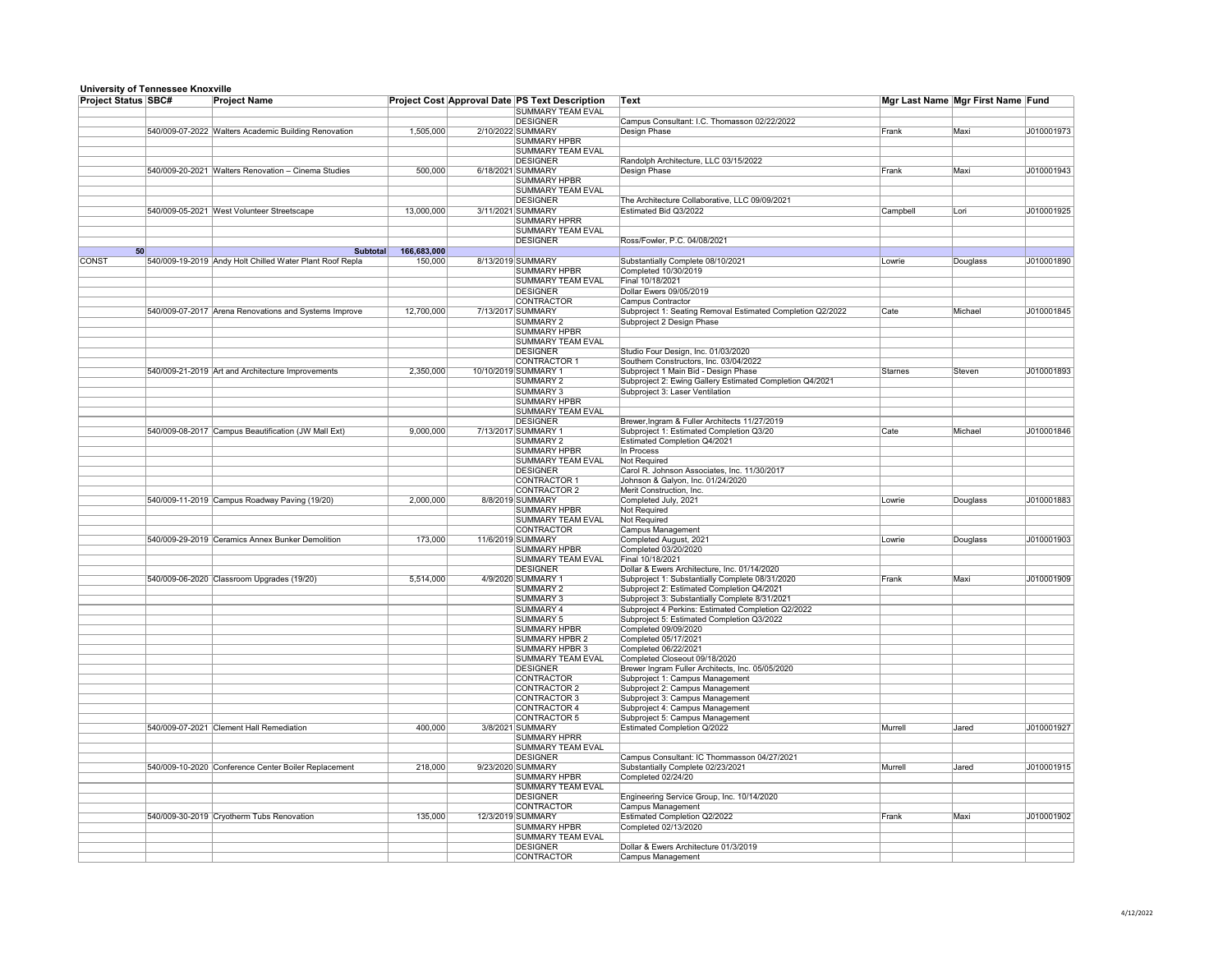| <u>sinvolony or rollilooddo rulowying</u><br><b>Project Status SBC#</b> | <b>Project Name</b>                                      |             | <b>Project Cost Approval Date PS Text Description</b> | <b>Text</b>                                                |          | Mgr Last Name Mgr First Name Fund |            |
|-------------------------------------------------------------------------|----------------------------------------------------------|-------------|-------------------------------------------------------|------------------------------------------------------------|----------|-----------------------------------|------------|
|                                                                         |                                                          |             | <b>SUMMARY TEAM EVAL</b>                              |                                                            |          |                                   |            |
|                                                                         |                                                          |             | <b>DESIGNER</b>                                       | Campus Consultant: I.C. Thomasson 02/22/2022               |          |                                   |            |
|                                                                         | 540/009-07-2022 Walters Academic Building Renovation     | 1,505,000   | 2/10/2022 SUMMARY                                     | <b>Design Phase</b>                                        | Frank    | Maxi                              | J010001973 |
|                                                                         |                                                          |             | <b>SUMMARY HPBR</b>                                   |                                                            |          |                                   |            |
|                                                                         |                                                          |             | <b>SUMMARY TEAM EVAL</b>                              |                                                            |          |                                   |            |
|                                                                         | 540/009-20-2021 Walters Renovation - Cinema Studies      | 500,000     | <b>DESIGNER</b><br>6/18/2021 SUMMARY                  | Randolph Architecture, LLC 03/15/2022<br>Design Phase      | Frank    | Maxi                              | J010001943 |
|                                                                         |                                                          |             | <b>SUMMARY HPBR</b>                                   |                                                            |          |                                   |            |
|                                                                         |                                                          |             | <b>SUMMARY TEAM EVAL</b>                              |                                                            |          |                                   |            |
|                                                                         |                                                          |             | <b>DESIGNER</b>                                       | The Architecture Collaborative, LLC 09/09/2021             |          |                                   |            |
|                                                                         | 540/009-05-2021 West Volunteer Streetscape               | 13,000,000  | 3/11/2021 SUMMARY                                     | Estimated Bid Q3/2022                                      | Campbell | Lori                              | J010001925 |
|                                                                         |                                                          |             | <b>SUMMARY HPRR</b>                                   |                                                            |          |                                   |            |
|                                                                         |                                                          |             | <b>SUMMARY TEAM EVAL</b>                              |                                                            |          |                                   |            |
|                                                                         |                                                          |             | DESIGNER                                              | Ross/Fowler, P.C. 04/08/2021                               |          |                                   |            |
| 50                                                                      | <b>Subtotal</b>                                          | 166,683,000 |                                                       |                                                            |          |                                   |            |
| <b>CONST</b>                                                            | 540/009-19-2019 Andy Holt Chilled Water Plant Roof Repla | 150,000     | 8/13/2019 SUMMARY                                     | Substantially Complete 08/10/2021                          | Lowrie   | Douglass                          | J010001890 |
|                                                                         |                                                          |             | <b>SUMMARY HPBR</b>                                   | Completed 10/30/2019                                       |          |                                   |            |
|                                                                         |                                                          |             | <b>SUMMARY TEAM EVAL</b><br><b>DESIGNER</b>           | Final 10/18/2021                                           |          |                                   |            |
|                                                                         |                                                          |             | <b>CONTRACTOR</b>                                     | Dollar Ewers 09/05/2019<br><b>Campus Contractor</b>        |          |                                   |            |
|                                                                         | 540/009-07-2017 Arena Renovations and Systems Improve    | 12,700,000  | 7/13/2017 SUMMARY                                     | Subproject 1: Seating Removal Estimated Completion Q2/2022 | Cate     | Michael                           | J010001845 |
|                                                                         |                                                          |             | <b>SUMMARY 2</b>                                      | Subproject 2 Design Phase                                  |          |                                   |            |
|                                                                         |                                                          |             | <b>SUMMARY HPBR</b>                                   |                                                            |          |                                   |            |
|                                                                         |                                                          |             | <b>SUMMARY TEAM EVAL</b>                              |                                                            |          |                                   |            |
|                                                                         |                                                          |             | <b>DESIGNER</b>                                       | Studio Four Design, Inc. 01/03/2020                        |          |                                   |            |
|                                                                         |                                                          |             | CONTRACTOR 1                                          | Southern Constructors, Inc. 03/04/2022                     |          |                                   |            |
|                                                                         | 540/009-21-2019 Art and Architecture Improvements        | 2,350,000   | 10/10/2019 SUMMARY 1                                  | Subproject 1 Main Bid - Design Phase                       | Starnes  | Steven                            | J010001893 |
|                                                                         |                                                          |             | <b>SUMMARY 2</b>                                      | Subproject 2: Ewing Gallery Estimated Completion Q4/2021   |          |                                   |            |
|                                                                         |                                                          |             | <b>SUMMARY 3</b>                                      | Subproject 3: Laser Ventilation                            |          |                                   |            |
|                                                                         |                                                          |             | <b>SUMMARY HPBR</b>                                   |                                                            |          |                                   |            |
|                                                                         |                                                          |             | <b>SUMMARY TEAM EVAL</b><br><b>DESIGNER</b>           | Brewer, Ingram & Fuller Architects 11/27/2019              |          |                                   |            |
|                                                                         | 540/009-08-2017 Campus Beautification (JW Mall Ext)      | 9,000,000   | 7/13/2017 SUMMARY 1                                   | Subproject 1: Estimated Completion Q3/20                   | ∣Cate    | Michael                           | J010001846 |
|                                                                         |                                                          |             | <b>SUMMARY 2</b>                                      | <b>Estimated Completion Q4/2021</b>                        |          |                                   |            |
|                                                                         |                                                          |             | <b>SUMMARY HPBR</b>                                   | In Process                                                 |          |                                   |            |
|                                                                         |                                                          |             | <b>SUMMARY TEAM EVAL</b>                              | <b>Not Required</b>                                        |          |                                   |            |
|                                                                         |                                                          |             | DESIGNER                                              | Carol R. Johnson Associates, Inc. 11/30/2017               |          |                                   |            |
|                                                                         |                                                          |             | CONTRACTOR 1                                          | Johnson & Galyon, Inc. 01/24/2020                          |          |                                   |            |
|                                                                         |                                                          |             | CONTRACTOR 2                                          | Merit Construction, Inc.                                   |          |                                   |            |
|                                                                         | 540/009-11-2019 Campus Roadway Paving (19/20)            | 2,000,000   | 8/8/2019 SUMMARY                                      | Completed July, 2021                                       | Lowrie   | Douglass                          | J010001883 |
|                                                                         |                                                          |             | <b>SUMMARY HPBR</b>                                   | Not Required                                               |          |                                   |            |
|                                                                         |                                                          |             | <b>SUMMARY TEAM EVAL</b><br><b>CONTRACTOR</b>         | Not Required                                               |          |                                   |            |
|                                                                         | 540/009-29-2019 Ceramics Annex Bunker Demolition         | 173,000     | 11/6/2019 SUMMARY                                     | Campus Management<br>Completed August, 2021                | Lowrie   | Douglass                          | J010001903 |
|                                                                         |                                                          |             | <b>SUMMARY HPBR</b>                                   | Completed 03/20/2020                                       |          |                                   |            |
|                                                                         |                                                          |             | <b>SUMMARY TEAM EVAL</b>                              | Final 10/18/2021                                           |          |                                   |            |
|                                                                         |                                                          |             | <b>DESIGNER</b>                                       | Dollar & Ewers Architecture, Inc. 01/14/2020               |          |                                   |            |
|                                                                         | 540/009-06-2020 Classroom Upgrades (19/20)               | 5,514,000   | 4/9/2020 SUMMARY 1                                    | Subproject 1: Substantially Complete 08/31/2020            | Frank    | Maxi                              | J010001909 |
|                                                                         |                                                          |             | <b>SUMMARY 2</b>                                      | Subproject 2: Estimated Completion Q4/2021                 |          |                                   |            |
|                                                                         |                                                          |             | <b>SUMMARY 3</b>                                      | Subproject 3: Substantially Complete 8/31/2021             |          |                                   |            |
|                                                                         |                                                          |             | <b>SUMMARY 4</b>                                      | Subproject 4 Perkins: Estimated Completion Q2/2022         |          |                                   |            |
|                                                                         |                                                          |             | <b>SUMMARY 5</b>                                      | Subproject 5: Estimated Completion Q3/2022                 |          |                                   |            |
|                                                                         |                                                          |             | <b>SUMMARY HPBR</b><br><b>SUMMARY HPBR 2</b>          | Completed 09/09/2020<br>Completed 05/17/2021               |          |                                   |            |
|                                                                         |                                                          |             | SUMMARY HPBR 3                                        | Completed 06/22/2021                                       |          |                                   |            |
|                                                                         |                                                          |             | <b>SUMMARY TEAM EVAL</b>                              | Completed Closeout 09/18/2020                              |          |                                   |            |
|                                                                         |                                                          |             | <b>DESIGNER</b>                                       | Brewer Ingram Fuller Architects, Inc. 05/05/2020           |          |                                   |            |
|                                                                         |                                                          |             | <b>CONTRACTOR</b>                                     | Subproject 1: Campus Management                            |          |                                   |            |
|                                                                         |                                                          |             | CONTRACTOR 2                                          | Subproject 2: Campus Management                            |          |                                   |            |
|                                                                         |                                                          |             | CONTRACTOR 3                                          | Subproject 3: Campus Management                            |          |                                   |            |
|                                                                         |                                                          |             | CONTRACTOR 4                                          | Subproject 4: Campus Management                            |          |                                   |            |
|                                                                         |                                                          |             | CONTRACTOR 5                                          | Subproject 5: Campus Management                            |          |                                   |            |
|                                                                         | 540/009-07-2021 Clement Hall Remediation                 | 400,000     | 3/8/2021 SUMMARY                                      | <b>Estimated Completion Q/2022</b>                         | Murrell  | Jared                             | J010001927 |
|                                                                         |                                                          |             | <b>SUMMARY HPRR</b><br><b>SUMMARY TEAM EVAL</b>       |                                                            |          |                                   |            |
|                                                                         |                                                          |             | <b>DESIGNER</b>                                       | Campus Consultant: IC Thommasson 04/27/2021                |          |                                   |            |
|                                                                         | 540/009-10-2020 Conference Center Boiler Replacement     | 218,000     | 9/23/2020 SUMMARY                                     | Substantially Complete 02/23/2021                          | Murrell  | Jared                             | J010001915 |
|                                                                         |                                                          |             | <b>SUMMARY HPBR</b>                                   | Completed 02/24/20                                         |          |                                   |            |
|                                                                         |                                                          |             | <b>SUMMARY TEAM EVAL</b>                              |                                                            |          |                                   |            |
|                                                                         |                                                          |             | <b>DESIGNER</b>                                       | Engineering Service Group, Inc. 10/14/2020                 |          |                                   |            |
|                                                                         |                                                          |             | <b>CONTRACTOR</b>                                     | <b>Campus Management</b>                                   |          |                                   |            |
|                                                                         | 540/009-30-2019 Cryotherm Tubs Renovation                | 135,000     | 12/3/2019 SUMMARY                                     | Estimated Completion Q2/2022                               | Frank    | Maxi                              | J010001902 |
|                                                                         |                                                          |             | <b>SUMMARY HPBR</b>                                   | Completed 02/13/2020                                       |          |                                   |            |
|                                                                         |                                                          |             | <b>SUMMARY TEAM EVAL</b>                              |                                                            |          |                                   |            |
|                                                                         |                                                          |             | <b>DESIGNER</b><br><b>CONTRACTOR</b>                  | Dollar & Ewers Architecture 01/3/2019<br>Campus Management |          |                                   |            |
|                                                                         |                                                          |             |                                                       |                                                            |          |                                   |            |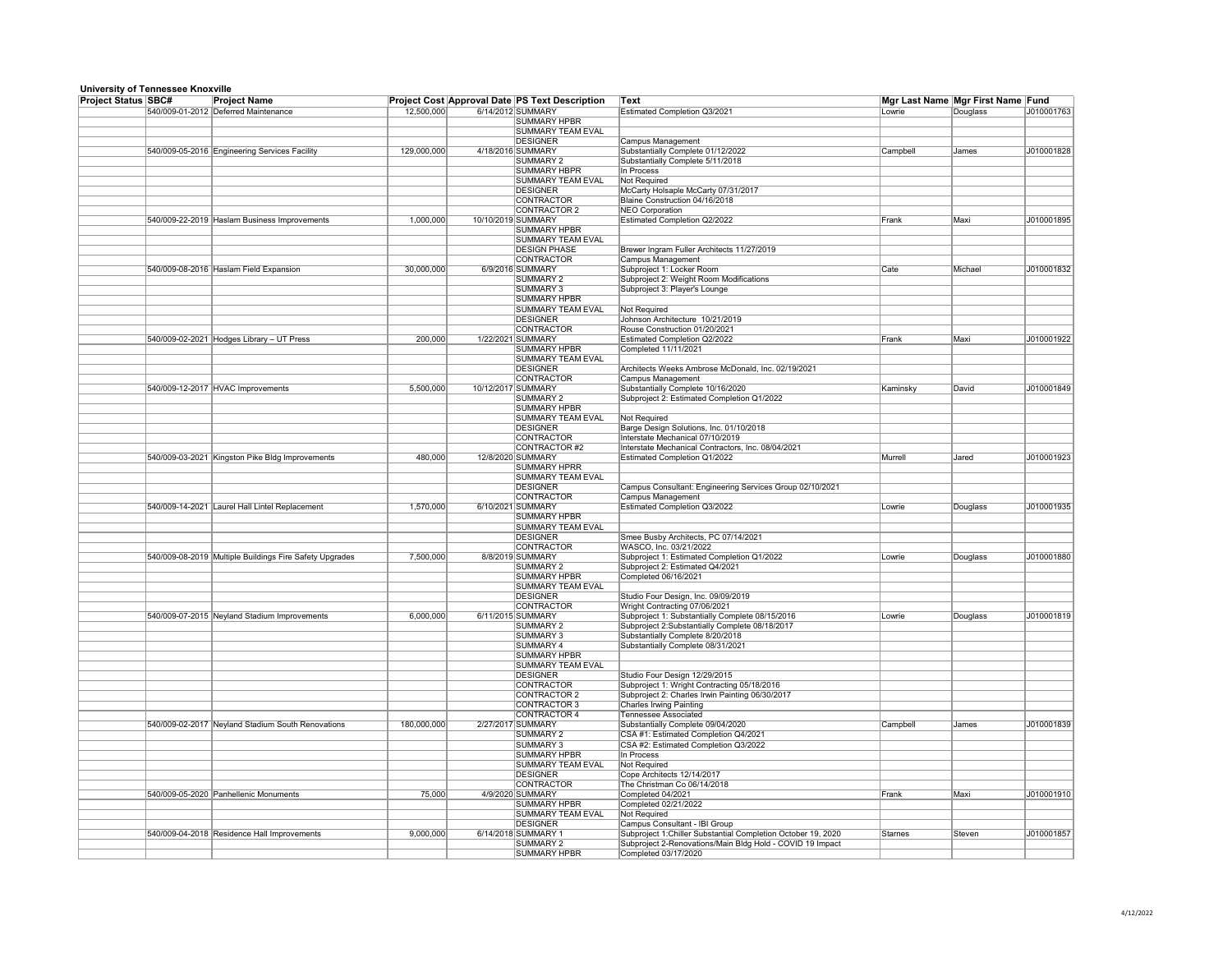| <b>Project Status SBC#</b> | <b>Project Name</b>                                     |             |                    | <b>Project Cost Approval Date PS Text Description</b> | Text                                                                                              |          | Mgr Last Name Mgr First Name Fund |            |
|----------------------------|---------------------------------------------------------|-------------|--------------------|-------------------------------------------------------|---------------------------------------------------------------------------------------------------|----------|-----------------------------------|------------|
|                            | 540/009-01-2012 Deferred Maintenance                    | 12,500,000  |                    | 6/14/2012 SUMMARY                                     | <b>Estimated Completion Q3/2021</b>                                                               | Lowrie   | Douglass                          | J010001763 |
|                            |                                                         |             |                    | <b>SUMMARY HPBR</b>                                   |                                                                                                   |          |                                   |            |
|                            |                                                         |             |                    | <b>SUMMARY TEAM EVAL</b>                              |                                                                                                   |          |                                   |            |
|                            | 540/009-05-2016 Engineering Services Facility           | 129,000,000 |                    | <b>DESIGNER</b><br>4/18/2016 SUMMARY                  | <b>Campus Management</b><br>Substantially Complete 01/12/2022                                     | Campbell | <b>James</b>                      | J010001828 |
|                            |                                                         |             |                    | <b>SUMMARY 2</b>                                      | Substantially Complete 5/11/2018                                                                  |          |                                   |            |
|                            |                                                         |             |                    | <b>SUMMARY HBPR</b>                                   | In Process                                                                                        |          |                                   |            |
|                            |                                                         |             |                    | <b>SUMMARY TEAM EVAL</b>                              | <b>Not Required</b>                                                                               |          |                                   |            |
|                            |                                                         |             |                    | <b>DESIGNER</b>                                       | McCarty Holsaple McCarty 07/31/2017                                                               |          |                                   |            |
|                            |                                                         |             |                    | <b>CONTRACTOR</b>                                     | Blaine Construction 04/16/2018                                                                    |          |                                   |            |
|                            |                                                         |             |                    | CONTRACTOR 2                                          | <b>NEO Corporation</b>                                                                            |          |                                   |            |
|                            | 540/009-22-2019 Haslam Business Improvements            | 1,000,000   | 10/10/2019 SUMMARY | <b>SUMMARY HPBR</b>                                   | <b>Estimated Completion Q2/2022</b>                                                               | Frank    | Maxi                              | J010001895 |
|                            |                                                         |             |                    | <b>SUMMARY TEAM EVAL</b>                              |                                                                                                   |          |                                   |            |
|                            |                                                         |             |                    | <b>DESIGN PHASE</b>                                   | Brewer Ingram Fuller Architects 11/27/2019                                                        |          |                                   |            |
|                            |                                                         |             |                    | <b>CONTRACTOR</b>                                     | <b>Campus Management</b>                                                                          |          |                                   |            |
|                            | 540/009-08-2016 Haslam Field Expansion                  | 30,000,000  |                    | 6/9/2016 SUMMARY                                      | Subproject 1: Locker Room                                                                         | Cate     | Michael                           | J010001832 |
|                            |                                                         |             |                    | <b>SUMMARY 2</b>                                      | Subproject 2: Weight Room Modifications                                                           |          |                                   |            |
|                            |                                                         |             |                    | <b>SUMMARY 3</b>                                      | Subproject 3: Player's Lounge                                                                     |          |                                   |            |
|                            |                                                         |             |                    | <b>SUMMARY HPBR</b>                                   |                                                                                                   |          |                                   |            |
|                            |                                                         |             |                    | <b>SUMMARY TEAM EVAL</b><br><b>DESIGNER</b>           | <b>Not Required</b><br>Johnson Architecture 10/21/2019                                            |          |                                   |            |
|                            |                                                         |             |                    | <b>CONTRACTOR</b>                                     | Rouse Construction 01/20/2021                                                                     |          |                                   |            |
|                            | 540/009-02-2021 Hodges Library - UT Press               | 200,000     |                    | 1/22/2021 SUMMARY                                     | <b>Estimated Completion Q2/2022</b>                                                               | Frank    | Maxi                              | J010001922 |
|                            |                                                         |             |                    | <b>SUMMARY HPBR</b>                                   | Completed 11/11/2021                                                                              |          |                                   |            |
|                            |                                                         |             |                    | <b>SUMMARY TEAM EVAL</b>                              |                                                                                                   |          |                                   |            |
|                            |                                                         |             |                    | <b>DESIGNER</b>                                       | Architects Weeks Ambrose McDonald, Inc. 02/19/2021                                                |          |                                   |            |
|                            |                                                         |             |                    | <b>CONTRACTOR</b>                                     | <b>Campus Management</b>                                                                          |          |                                   |            |
|                            | 540/009-12-2017 HVAC Improvements                       | 5,500,000   | 10/12/2017 SUMMARY |                                                       | Substantially Complete 10/16/2020                                                                 | Kaminsky | David                             | J010001849 |
|                            |                                                         |             |                    | <b>SUMMARY 2</b>                                      | Subproject 2: Estimated Completion Q1/2022                                                        |          |                                   |            |
|                            |                                                         |             |                    | <b>SUMMARY HPBR</b>                                   |                                                                                                   |          |                                   |            |
|                            |                                                         |             |                    | <b>SUMMARY TEAM EVAL</b><br><b>DESIGNER</b>           | <b>Not Required</b><br>Barge Design Solutions, Inc. 01/10/2018                                    |          |                                   |            |
|                            |                                                         |             |                    | <b>CONTRACTOR</b>                                     | Interstate Mechanical 07/10/2019                                                                  |          |                                   |            |
|                            |                                                         |             |                    | CONTRACTOR#2                                          | Interstate Mechanical Contractors, Inc. 08/04/2021                                                |          |                                   |            |
|                            | 540/009-03-2021 Kingston Pike Bldg Improvements         | 480,000     |                    | 12/8/2020 SUMMARY                                     | <b>Estimated Completion Q1/2022</b>                                                               | Murrell  | Jared                             | J010001923 |
|                            |                                                         |             |                    | <b>SUMMARY HPRR</b>                                   |                                                                                                   |          |                                   |            |
|                            |                                                         |             |                    | <b>SUMMARY TEAM EVAL</b>                              |                                                                                                   |          |                                   |            |
|                            |                                                         |             |                    | <b>DESIGNER</b>                                       | Campus Consultant: Engineering Services Group 02/10/2021                                          |          |                                   |            |
|                            |                                                         |             |                    | <b>CONTRACTOR</b>                                     | <b>Campus Management</b>                                                                          |          |                                   |            |
|                            | 540/009-14-2021 Laurel Hall Lintel Replacement          | 1,570,000   |                    | 6/10/2021 SUMMARY                                     | <b>Estimated Completion Q3/2022</b>                                                               | Lowrie   | Douglass                          | J010001935 |
|                            |                                                         |             |                    | <b>SUMMARY HPBR</b><br><b>SUMMARY TEAM EVAL</b>       |                                                                                                   |          |                                   |            |
|                            |                                                         |             |                    | <b>DESIGNER</b>                                       | Smee Busby Architects, PC 07/14/2021                                                              |          |                                   |            |
|                            |                                                         |             |                    | <b>CONTRACTOR</b>                                     | WASCO, Inc. 03/21/2022                                                                            |          |                                   |            |
|                            | 540/009-08-2019 Multiple Buildings Fire Safety Upgrades | 7,500,000   |                    | 8/8/2019 SUMMARY                                      | Subproject 1: Estimated Completion Q1/2022                                                        | Lowrie   | Douglass                          | J010001880 |
|                            |                                                         |             |                    | <b>SUMMARY 2</b>                                      | Subproject 2: Estimated Q4/2021                                                                   |          |                                   |            |
|                            |                                                         |             |                    | <b>SUMMARY HPBR</b>                                   | Completed 06/16/2021                                                                              |          |                                   |            |
|                            |                                                         |             |                    | <b>SUMMARY TEAM EVAL</b>                              |                                                                                                   |          |                                   |            |
|                            |                                                         |             |                    | <b>DESIGNER</b>                                       | Studio Four Design, Inc. 09/09/2019                                                               |          |                                   |            |
|                            |                                                         | 6,000,000   |                    | <b>CONTRACTOR</b><br>6/11/2015 SUMMARY                | Wright Contracting 07/06/2021                                                                     |          |                                   | J010001819 |
|                            | 540/009-07-2015 Neyland Stadium Improvements            |             |                    | <b>SUMMARY 2</b>                                      | Subproject 1: Substantially Complete 08/15/2016<br>Subproject 2:Substantially Complete 08/18/2017 | Lowrie   | Douglass                          |            |
|                            |                                                         |             |                    | <b>SUMMARY 3</b>                                      | Substantially Complete 8/20/2018                                                                  |          |                                   |            |
|                            |                                                         |             |                    | <b>SUMMARY 4</b>                                      | Substantially Complete 08/31/2021                                                                 |          |                                   |            |
|                            |                                                         |             |                    | <b>SUMMARY HPBR</b>                                   |                                                                                                   |          |                                   |            |
|                            |                                                         |             |                    | <b>SUMMARY TEAM EVAL</b>                              |                                                                                                   |          |                                   |            |
|                            |                                                         |             |                    | <b>DESIGNER</b>                                       | Studio Four Design 12/29/2015                                                                     |          |                                   |            |
|                            |                                                         |             |                    | <b>CONTRACTOR</b>                                     | Subproject 1: Wright Contracting 05/18/2016                                                       |          |                                   |            |
|                            |                                                         |             |                    | CONTRACTOR 2                                          | Subproject 2: Charles Irwin Painting 06/30/2017                                                   |          |                                   |            |
|                            |                                                         |             |                    | CONTRACTOR 3<br>CONTRACTOR 4                          | <b>Charles Irwing Painting</b><br><b>Tennessee Associated</b>                                     |          |                                   |            |
|                            | 540/009-02-2017 Neyland Stadium South Renovations       | 180,000,000 |                    | 2/27/2017 SUMMARY                                     | Substantially Complete 09/04/2020                                                                 | Campbell | <b>James</b>                      | J010001839 |
|                            |                                                         |             |                    | <b>SUMMARY 2</b>                                      | CSA #1: Estimated Completion Q4/2021                                                              |          |                                   |            |
|                            |                                                         |             |                    | <b>SUMMARY 3</b>                                      | CSA #2: Estimated Completion Q3/2022                                                              |          |                                   |            |
|                            |                                                         |             |                    | <b>SUMMARY HPBR</b>                                   | In Process                                                                                        |          |                                   |            |
|                            |                                                         |             |                    | <b>SUMMARY TEAM EVAL</b>                              | <b>Not Required</b>                                                                               |          |                                   |            |
|                            |                                                         |             |                    | <b>DESIGNER</b>                                       | Cope Architects 12/14/2017                                                                        |          |                                   |            |
|                            |                                                         |             |                    | <b>CONTRACTOR</b>                                     | The Christman Co 06/14/2018                                                                       |          |                                   |            |
|                            | 540/009-05-2020 Panhellenic Monuments                   | 75,000      |                    | 4/9/2020 SUMMARY<br><b>SUMMARY HPBR</b>               | Completed 04/2021                                                                                 | Frank    | Maxi                              | J010001910 |
|                            |                                                         |             |                    | <b>SUMMARY TEAM EVAL</b>                              | Completed 02/21/2022<br><b>Not Required</b>                                                       |          |                                   |            |
|                            |                                                         |             |                    | <b>DESIGNER</b>                                       | <b>Campus Consultant - IBI Group</b>                                                              |          |                                   |            |
|                            | 540/009-04-2018 Residence Hall Improvements             | 9,000,000   |                    | 6/14/2018 SUMMARY 1                                   | Subproject 1: Chiller Substantial Completion October 19, 2020                                     | Starnes  | Steven                            | J010001857 |
|                            |                                                         |             |                    | <b>SUMMARY 2</b>                                      | Subproject 2-Renovations/Main Bldg Hold - COVID 19 Impact                                         |          |                                   |            |
|                            |                                                         |             |                    | <b>SUMMARY HPBR</b>                                   | Completed 03/17/2020                                                                              |          |                                   |            |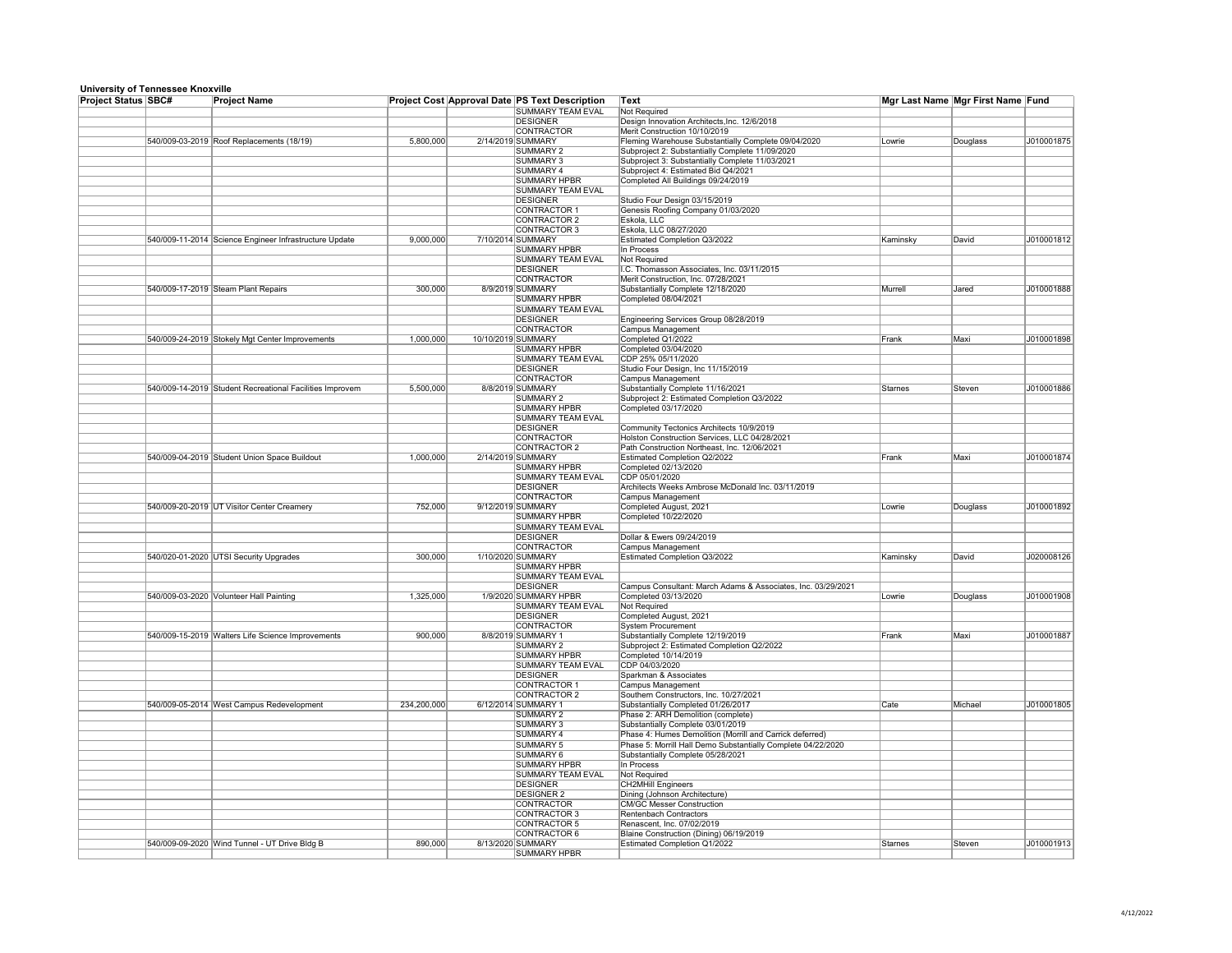| <u>omvorony or romrooooo rinoxymo</u> |                                                          |             |                    |                                                       |                                                              |                |                                   |            |
|---------------------------------------|----------------------------------------------------------|-------------|--------------------|-------------------------------------------------------|--------------------------------------------------------------|----------------|-----------------------------------|------------|
| <b>Project Status SBC#</b>            | <b>Project Name</b>                                      |             |                    | <b>Project Cost Approval Date PS Text Description</b> | <b>Text</b>                                                  |                | Mgr Last Name Mgr First Name Fund |            |
|                                       |                                                          |             |                    | <b>SUMMARY TEAM EVAL</b>                              | Not Required                                                 |                |                                   |            |
|                                       |                                                          |             |                    | DESIGNER                                              | Design Innovation Architects, Inc. 12/6/2018                 |                |                                   |            |
|                                       |                                                          |             |                    | <b>CONTRACTOR</b>                                     | Merit Construction 10/10/2019                                |                |                                   |            |
|                                       | 540/009-03-2019 Roof Replacements (18/19)                | 5,800,000   |                    | 2/14/2019 SUMMARY                                     | Fleming Warehouse Substantially Complete 09/04/2020          | Lowrie         | Douglass                          | J010001875 |
|                                       |                                                          |             |                    | SUMMARY 2                                             | Subproject 2: Substantially Complete 11/09/2020              |                |                                   |            |
|                                       |                                                          |             |                    | SUMMARY 3                                             | Subproject 3: Substantially Complete 11/03/2021              |                |                                   |            |
|                                       |                                                          |             |                    | <b>SUMMARY 4</b>                                      | Subproject 4: Estimated Bid Q4/2021                          |                |                                   |            |
|                                       |                                                          |             |                    |                                                       |                                                              |                |                                   |            |
|                                       |                                                          |             |                    | <b>SUMMARY HPBR</b>                                   | Completed All Buildings 09/24/2019                           |                |                                   |            |
|                                       |                                                          |             |                    | <b>SUMMARY TEAM EVAL</b>                              |                                                              |                |                                   |            |
|                                       |                                                          |             |                    | DESIGNER                                              | Studio Four Design 03/15/2019                                |                |                                   |            |
|                                       |                                                          |             |                    | CONTRACTOR 1                                          | Genesis Roofing Company 01/03/2020                           |                |                                   |            |
|                                       |                                                          |             |                    | CONTRACTOR 2                                          | Eskola, LLC                                                  |                |                                   |            |
|                                       |                                                          |             |                    | CONTRACTOR 3                                          | Eskola, LLC 08/27/2020                                       |                |                                   |            |
|                                       |                                                          |             |                    |                                                       |                                                              |                |                                   |            |
|                                       | 540/009-11-2014 Science Engineer Infrastructure Update   | 9,000,000   |                    | 7/10/2014 SUMMARY                                     | <b>Estimated Completion Q3/2022</b>                          | Kaminsky       | David                             | J010001812 |
|                                       |                                                          |             |                    | SUMMARY HPBR                                          | In Process                                                   |                |                                   |            |
|                                       |                                                          |             |                    | <b>SUMMARY TEAM EVAL</b>                              | Not Required                                                 |                |                                   |            |
|                                       |                                                          |             |                    | DESIGNER                                              | I.C. Thomasson Associates, Inc. 03/11/2015                   |                |                                   |            |
|                                       |                                                          |             |                    | <b>CONTRACTOR</b>                                     | Merit Construction, Inc. 07/28/2021                          |                |                                   |            |
|                                       |                                                          |             |                    | 8/9/2019 SUMMARY                                      |                                                              |                |                                   |            |
|                                       | 540/009-17-2019 Steam Plant Repairs                      | 300,000     |                    |                                                       | Substantially Complete 12/18/2020                            | Murrell        | Jared                             | J010001888 |
|                                       |                                                          |             |                    | SUMMARY HPBR                                          | Completed 08/04/2021                                         |                |                                   |            |
|                                       |                                                          |             |                    | SUMMARY TEAM EVAL                                     |                                                              |                |                                   |            |
|                                       |                                                          |             |                    | <b>DESIGNER</b>                                       | Engineering Services Group 08/28/2019                        |                |                                   |            |
|                                       |                                                          |             |                    | <b>CONTRACTOR</b>                                     | <b>Campus Management</b>                                     |                |                                   |            |
|                                       | 540/009-24-2019 Stokely Mgt Center Improvements          | 1,000,000   | 10/10/2019 SUMMARY |                                                       | Completed Q1/2022                                            | Frank          | Maxi                              | J010001898 |
|                                       |                                                          |             |                    |                                                       |                                                              |                |                                   |            |
|                                       |                                                          |             |                    | <b>SUMMARY HPBR</b>                                   | Completed 03/04/2020                                         |                |                                   |            |
|                                       |                                                          |             |                    | <b>SUMMARY TEAM EVAL</b>                              | CDP 25% 05/11/2020                                           |                |                                   |            |
|                                       |                                                          |             |                    | <b>DESIGNER</b>                                       | Studio Four Design, Inc 11/15/2019                           |                |                                   |            |
|                                       |                                                          |             |                    | <b>CONTRACTOR</b>                                     | <b>Campus Management</b>                                     |                |                                   |            |
|                                       | 540/009-14-2019 Student Recreational Facilities Improvem | 5,500,000   |                    | 8/8/2019 SUMMARY                                      | Substantially Complete 11/16/2021                            | <b>Starnes</b> | Steven                            | J010001886 |
|                                       |                                                          |             |                    |                                                       |                                                              |                |                                   |            |
|                                       |                                                          |             |                    | <b>SUMMARY 2</b>                                      | Subproject 2: Estimated Completion Q3/2022                   |                |                                   |            |
|                                       |                                                          |             |                    | <b>SUMMARY HPBR</b>                                   | Completed 03/17/2020                                         |                |                                   |            |
|                                       |                                                          |             |                    | <b>SUMMARY TEAM EVAL</b>                              |                                                              |                |                                   |            |
|                                       |                                                          |             |                    | <b>DESIGNER</b>                                       | Community Tectonics Architects 10/9/2019                     |                |                                   |            |
|                                       |                                                          |             |                    | <b>CONTRACTOR</b>                                     | Holston Construction Services, LLC 04/28/2021                |                |                                   |            |
|                                       |                                                          |             |                    |                                                       |                                                              |                |                                   |            |
|                                       |                                                          |             |                    | CONTRACTOR 2                                          | Path Construction Northeast, Inc. 12/06/2021                 |                |                                   |            |
|                                       | 540/009-04-2019 Student Union Space Buildout             | 1,000,000   |                    | 2/14/2019 SUMMARY                                     | Estimated Completion Q2/2022                                 | Frank          | Maxi                              | J010001874 |
|                                       |                                                          |             |                    | <b>SUMMARY HPBR</b>                                   | Completed 02/13/2020                                         |                |                                   |            |
|                                       |                                                          |             |                    | <b>SUMMARY TEAM EVAL</b>                              | CDP 05/01/2020                                               |                |                                   |            |
|                                       |                                                          |             |                    | <b>DESIGNER</b>                                       | Architects Weeks Ambrose McDonald Inc. 03/11/2019            |                |                                   |            |
|                                       |                                                          |             |                    |                                                       |                                                              |                |                                   |            |
|                                       |                                                          |             |                    | <b>CONTRACTOR</b>                                     | <b>Campus Management</b>                                     |                |                                   |            |
|                                       | 540/009-20-2019 UT Visitor Center Creamery               | 752,000     |                    | 9/12/2019 SUMMARY                                     | Completed August, 2021                                       | Lowrie         | Douglass                          | J010001892 |
|                                       |                                                          |             |                    | <b>SUMMARY HPBR</b>                                   | Completed 10/22/2020                                         |                |                                   |            |
|                                       |                                                          |             |                    | SUMMARY TEAM EVAL                                     |                                                              |                |                                   |            |
|                                       |                                                          |             |                    | <b>DESIGNER</b>                                       | Dollar & Ewers 09/24/2019                                    |                |                                   |            |
|                                       |                                                          |             |                    |                                                       |                                                              |                |                                   |            |
|                                       |                                                          |             |                    | <b>CONTRACTOR</b>                                     | <b>Campus Management</b>                                     |                |                                   |            |
|                                       | 540/020-01-2020 UTSI Security Upgrades                   | 300,000     |                    | 1/10/2020 SUMMARY                                     | Estimated Completion Q3/2022                                 | Kaminsky       | David                             | J020008126 |
|                                       |                                                          |             |                    | <b>SUMMARY HPBR</b>                                   |                                                              |                |                                   |            |
|                                       |                                                          |             |                    | <b>SUMMARY TEAM EVAL</b>                              |                                                              |                |                                   |            |
|                                       |                                                          |             |                    | DESIGNER                                              |                                                              |                |                                   |            |
|                                       |                                                          |             |                    |                                                       | Campus Consultant: March Adams & Associates, Inc. 03/29/2021 |                |                                   |            |
|                                       | 540/009-03-2020 Volunteer Hall Painting                  | 1,325,000   |                    | 1/9/2020 SUMMARY HPBR                                 | Completed 03/13/2020                                         | Lowrie         | Douglass                          | J010001908 |
|                                       |                                                          |             |                    | <b>SUMMARY TEAM EVAL</b>                              | Not Required                                                 |                |                                   |            |
|                                       |                                                          |             |                    | <b>DESIGNER</b>                                       | Completed August, 2021                                       |                |                                   |            |
|                                       |                                                          |             |                    | <b>CONTRACTOR</b>                                     | <b>System Procurement</b>                                    |                |                                   |            |
|                                       | 540/009-15-2019 Walters Life Science Improvements        | 900,000     |                    | 8/8/2019 SUMMARY 1                                    | Substantially Complete 12/19/2019                            | Frank          | Maxi                              | J010001887 |
|                                       |                                                          |             |                    |                                                       |                                                              |                |                                   |            |
|                                       |                                                          |             |                    | <b>SUMMARY 2</b>                                      | Subproject 2: Estimated Completion Q2/2022                   |                |                                   |            |
|                                       |                                                          |             |                    | <b>SUMMARY HPBR</b>                                   | Completed 10/14/2019                                         |                |                                   |            |
|                                       |                                                          |             |                    | <b>SUMMARY TEAM EVAL</b>                              | CDP 04/03/2020                                               |                |                                   |            |
|                                       |                                                          |             |                    | <b>DESIGNER</b>                                       | Sparkman & Associates                                        |                |                                   |            |
|                                       |                                                          |             |                    | CONTRACTOR 1                                          |                                                              |                |                                   |            |
|                                       |                                                          |             |                    |                                                       | <b>Campus Management</b>                                     |                |                                   |            |
|                                       |                                                          |             |                    | CONTRACTOR 2                                          | Southern Constructors, Inc. 10/27/2021                       |                |                                   |            |
|                                       | 540/009-05-2014 West Campus Redevelopment                | 234,200,000 |                    | 6/12/2014 SUMMARY 1                                   | Substantially Completed 01/26/2017                           | Cate           | Michael                           | J010001805 |
|                                       |                                                          |             |                    | <b>SUMMARY 2</b>                                      | Phase 2: ARH Demolition (complete)                           |                |                                   |            |
|                                       |                                                          |             |                    | SUMMARY 3                                             | Substantially Complete 03/01/2019                            |                |                                   |            |
|                                       |                                                          |             |                    |                                                       |                                                              |                |                                   |            |
|                                       |                                                          |             |                    | <b>SUMMARY 4</b>                                      | Phase 4: Humes Demolition (Morrill and Carrick deferred)     |                |                                   |            |
|                                       |                                                          |             |                    | SUMMARY 5                                             | Phase 5: Morrill Hall Demo Substantially Complete 04/22/2020 |                |                                   |            |
|                                       |                                                          |             |                    | SUMMARY 6                                             | Substantially Complete 05/28/2021                            |                |                                   |            |
|                                       |                                                          |             |                    | <b>SUMMARY HPBR</b>                                   | In Process                                                   |                |                                   |            |
|                                       |                                                          |             |                    | <b>SUMMARY TEAM EVAL</b>                              |                                                              |                |                                   |            |
|                                       |                                                          |             |                    |                                                       | Not Required                                                 |                |                                   |            |
|                                       |                                                          |             |                    | <b>DESIGNER</b>                                       | <b>CH2MHill Engineers</b>                                    |                |                                   |            |
|                                       |                                                          |             |                    | <b>DESIGNER 2</b>                                     | Dining (Johnson Architecture)                                |                |                                   |            |
|                                       |                                                          |             |                    | <b>CONTRACTOR</b>                                     | <b>CM/GC Messer Construction</b>                             |                |                                   |            |
|                                       |                                                          |             |                    | CONTRACTOR 3                                          | <b>Rentenbach Contractors</b>                                |                |                                   |            |
|                                       |                                                          |             |                    |                                                       |                                                              |                |                                   |            |
|                                       |                                                          |             |                    | CONTRACTOR 5                                          | Renascent, Inc. 07/02/2019                                   |                |                                   |            |
|                                       |                                                          |             |                    | CONTRACTOR 6                                          | Blaine Construction (Dining) 06/19/2019                      |                |                                   |            |
|                                       | 540/009-09-2020 Wind Tunnel - UT Drive Bldg B            | 890,000     |                    | 8/13/2020 SUMMARY                                     | <b>Estimated Completion Q1/2022</b>                          | Starnes        | Steven                            | J010001913 |
|                                       |                                                          |             |                    | SUMMARY HPBR                                          |                                                              |                |                                   |            |
|                                       |                                                          |             |                    |                                                       |                                                              |                |                                   |            |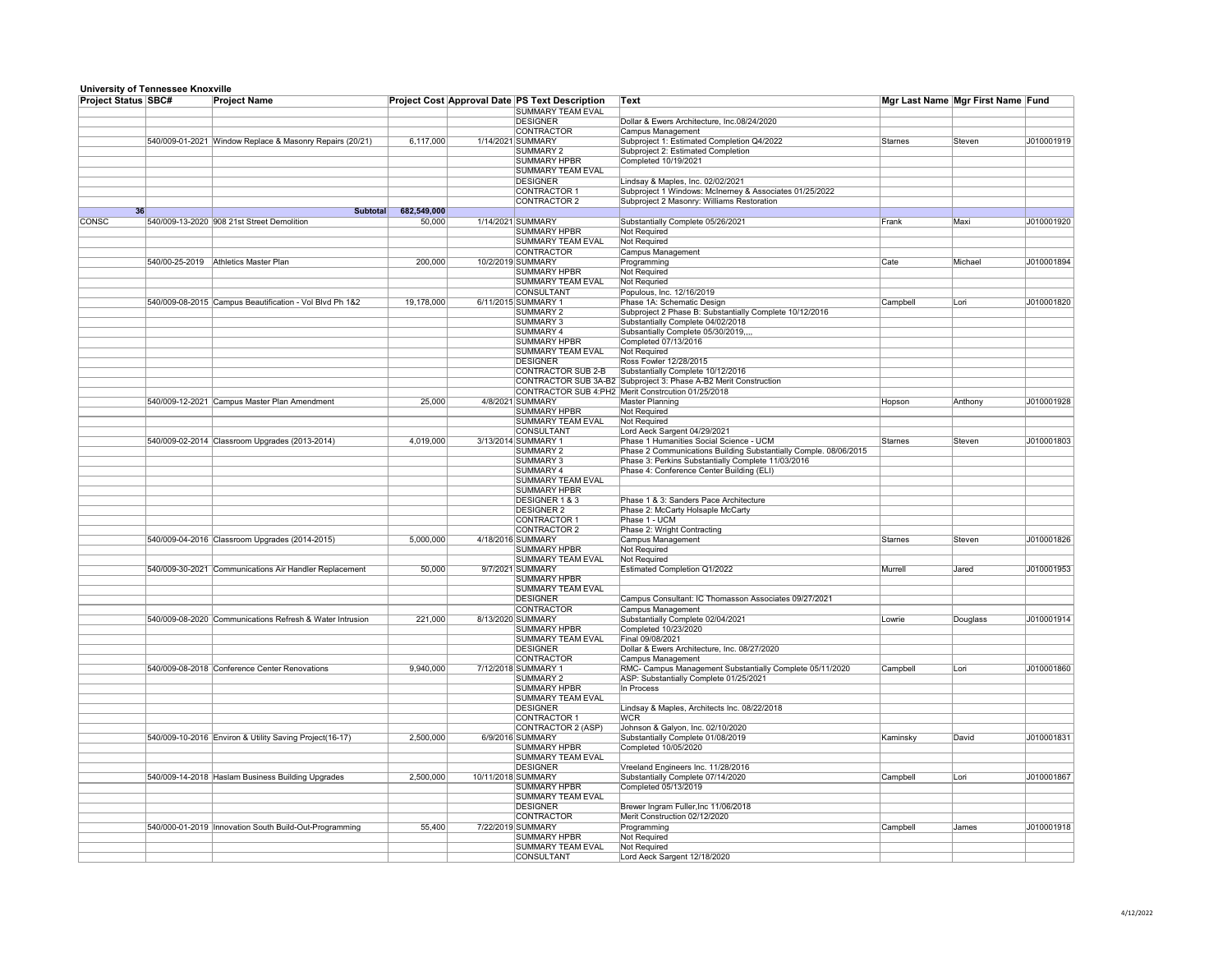| <u>UMITORY UP TUMIOUUU RHUATINU</u><br><b>Project Status SBC#</b> | <b>Project Name</b>                                      | <b>Project Cost Approval Date PS Text Description</b> |                    |                                                 | Text                                                                    | Mgr Last Name Mgr First Name Fund |          |            |
|-------------------------------------------------------------------|----------------------------------------------------------|-------------------------------------------------------|--------------------|-------------------------------------------------|-------------------------------------------------------------------------|-----------------------------------|----------|------------|
|                                                                   |                                                          |                                                       |                    | <b>SUMMARY TEAM EVAL</b>                        |                                                                         |                                   |          |            |
|                                                                   |                                                          |                                                       |                    | <b>DESIGNER</b>                                 | Dollar & Ewers Architecture, Inc.08/24/2020                             |                                   |          |            |
|                                                                   |                                                          |                                                       |                    | <b>CONTRACTOR</b>                               | <b>Campus Management</b>                                                |                                   |          |            |
|                                                                   | 540/009-01-2021 Window Replace & Masonry Repairs (20/21) | 6,117,000                                             |                    | 1/14/2021 SUMMARY                               | Subproject 1: Estimated Completion Q4/2022                              | Starnes                           | Steven   | J010001919 |
|                                                                   |                                                          |                                                       |                    | SUMMARY 2                                       | Subproject 2: Estimated Completion                                      |                                   |          |            |
|                                                                   |                                                          |                                                       |                    | SUMMARY HPBR                                    | Completed 10/19/2021                                                    |                                   |          |            |
|                                                                   |                                                          |                                                       |                    | <b>SUMMARY TEAM EVAL</b>                        |                                                                         |                                   |          |            |
|                                                                   |                                                          |                                                       |                    | DESIGNER                                        | Lindsay & Maples, Inc. 02/02/2021                                       |                                   |          |            |
|                                                                   |                                                          |                                                       |                    | <b>CONTRACTOR 1</b>                             | Subproject 1 Windows: McInerney & Associates 01/25/2022                 |                                   |          |            |
|                                                                   |                                                          |                                                       |                    | CONTRACTOR 2                                    | Subproject 2 Masonry: Williams Restoration                              |                                   |          |            |
| 36                                                                | <b>Subtotal</b>                                          | 682,549,000                                           |                    |                                                 |                                                                         |                                   |          |            |
| <b>CONSC</b>                                                      | 540/009-13-2020 908 21st Street Demolition               | 50,000                                                |                    | 1/14/2021 SUMMARY                               | Substantially Complete 05/26/2021                                       | Frank                             | Maxi     | J010001920 |
|                                                                   |                                                          |                                                       |                    | <b>SUMMARY HPBR</b>                             | Not Required                                                            |                                   |          |            |
|                                                                   |                                                          |                                                       |                    | SUMMARY TEAM EVAL                               | Not Required                                                            |                                   |          |            |
|                                                                   |                                                          |                                                       |                    | <b>CONTRACTOR</b>                               | <b>Campus Management</b>                                                |                                   |          |            |
|                                                                   | 540/00-25-2019 Athletics Master Plan                     | 200,000                                               |                    | 10/2/2019 SUMMARY                               | Programming                                                             | Cate                              | Michael  | J010001894 |
|                                                                   |                                                          |                                                       |                    | SUMMARY HPBR                                    | Not Required                                                            |                                   |          |            |
|                                                                   |                                                          |                                                       |                    | SUMMARY TEAM EVAL                               | Not Requried                                                            |                                   |          |            |
|                                                                   |                                                          |                                                       |                    | <b>CONSULTANT</b>                               | Populous, Inc. 12/16/2019                                               |                                   |          |            |
|                                                                   | 540/009-08-2015 Campus Beautification - Vol Blvd Ph 1&2  | 19,178,000                                            |                    | 6/11/2015 SUMMARY 1                             | Phase 1A: Schematic Design                                              | Campbell                          | Lori     | J010001820 |
|                                                                   |                                                          |                                                       |                    | SUMMARY 2                                       | Subproject 2 Phase B: Substantially Complete 10/12/2016                 |                                   |          |            |
|                                                                   |                                                          |                                                       |                    | <b>SUMMARY 3</b>                                | Substantially Complete 04/02/2018                                       |                                   |          |            |
|                                                                   |                                                          |                                                       |                    | <b>SUMMARY 4</b>                                | Subsantially Complete 05/30/2019,,,,                                    |                                   |          |            |
|                                                                   |                                                          |                                                       |                    | <b>SUMMARY HPBR</b>                             | Completed 07/13/2016                                                    |                                   |          |            |
|                                                                   |                                                          |                                                       |                    | <b>SUMMARY TEAM EVAL</b>                        | Not Required                                                            |                                   |          |            |
|                                                                   |                                                          |                                                       |                    | <b>DESIGNER</b>                                 | Ross Fowler 12/28/2015                                                  |                                   |          |            |
|                                                                   |                                                          |                                                       |                    | CONTRACTOR SUB 2-B                              | Substantially Complete 10/12/2016                                       |                                   |          |            |
|                                                                   |                                                          |                                                       |                    |                                                 | CONTRACTOR SUB 3A-B2 Subproject 3: Phase A-B2 Merit Construction        |                                   |          |            |
|                                                                   |                                                          |                                                       |                    |                                                 | CONTRACTOR SUB 4:PH2 Merit Constrcution 01/25/2018                      |                                   |          |            |
|                                                                   | 540/009-12-2021 Campus Master Plan Amendment             | 25,000                                                |                    | 4/8/2021 SUMMARY                                | <b>Master Planning</b>                                                  | Hopson                            | Anthony  | J010001928 |
|                                                                   |                                                          |                                                       |                    | <b>SUMMARY HPBR</b><br><b>SUMMARY TEAM EVAL</b> | <b>Not Required</b>                                                     |                                   |          |            |
|                                                                   |                                                          |                                                       |                    | CONSULTANT                                      | Not Required                                                            |                                   |          |            |
|                                                                   | 540/009-02-2014 Classroom Upgrades (2013-2014)           | 4,019,000                                             |                    | 3/13/2014 SUMMARY 1                             | Lord Aeck Sargent 04/29/2021<br>Phase 1 Humanities Social Science - UCM | Starnes                           | Steven   | J010001803 |
|                                                                   |                                                          |                                                       |                    | <b>SUMMARY 2</b>                                | Phase 2 Communications Building Substantially Comple. 08/06/2015        |                                   |          |            |
|                                                                   |                                                          |                                                       |                    | <b>SUMMARY 3</b>                                | Phase 3: Perkins Substantially Complete 11/03/2016                      |                                   |          |            |
|                                                                   |                                                          |                                                       |                    | <b>SUMMARY 4</b>                                | Phase 4: Conference Center Building (ELI)                               |                                   |          |            |
|                                                                   |                                                          |                                                       |                    | <b>SUMMARY TEAM EVAL</b>                        |                                                                         |                                   |          |            |
|                                                                   |                                                          |                                                       |                    | <b>SUMMARY HPBR</b>                             |                                                                         |                                   |          |            |
|                                                                   |                                                          |                                                       |                    | <b>DESIGNER 1 &amp; 3</b>                       | Phase 1 & 3: Sanders Pace Architecture                                  |                                   |          |            |
|                                                                   |                                                          |                                                       |                    | <b>DESIGNER 2</b>                               | Phase 2: McCarty Holsaple McCarty                                       |                                   |          |            |
|                                                                   |                                                          |                                                       |                    | CONTRACTOR 1                                    | Phase 1 - UCM                                                           |                                   |          |            |
|                                                                   |                                                          |                                                       |                    | CONTRACTOR 2                                    | Phase 2: Wright Contracting                                             |                                   |          |            |
|                                                                   | 540/009-04-2016 Classroom Upgrades (2014-2015)           | 5,000,000                                             |                    | 4/18/2016 SUMMARY                               | <b>Campus Management</b>                                                | Starnes                           | Steven   | J010001826 |
|                                                                   |                                                          |                                                       |                    | <b>SUMMARY HPBR</b>                             | Not Required                                                            |                                   |          |            |
|                                                                   |                                                          |                                                       |                    | SUMMARY TEAM EVAL                               | <b>Not Required</b>                                                     |                                   |          |            |
|                                                                   | 540/009-30-2021 Communications Air Handler Replacement   | 50,000                                                |                    | 9/7/2021 SUMMARY                                | <b>Estimated Completion Q1/2022</b>                                     | Murrell                           | Jared    | J010001953 |
|                                                                   |                                                          |                                                       |                    | <b>SUMMARY HPBR</b>                             |                                                                         |                                   |          |            |
|                                                                   |                                                          |                                                       |                    | <b>SUMMARY TEAM EVAL</b>                        |                                                                         |                                   |          |            |
|                                                                   |                                                          |                                                       |                    | <b>DESIGNER</b>                                 | Campus Consultant: IC Thomasson Associates 09/27/2021                   |                                   |          |            |
|                                                                   |                                                          |                                                       |                    | <b>CONTRACTOR</b>                               | <b>Campus Management</b>                                                |                                   |          |            |
|                                                                   | 540/009-08-2020 Communications Refresh & Water Intrusion | 221,000                                               |                    | 8/13/2020 SUMMARY                               | Substantially Complete 02/04/2021                                       | Lowrie                            | Douglass | J010001914 |
|                                                                   |                                                          |                                                       |                    | <b>SUMMARY HPBR</b>                             | Completed 10/23/2020                                                    |                                   |          |            |
|                                                                   |                                                          |                                                       |                    | SUMMARY TEAM EVAL                               | Final 09/08/2021                                                        |                                   |          |            |
|                                                                   |                                                          |                                                       |                    | <b>DESIGNER</b>                                 | Dollar & Ewers Architecture, Inc. 08/27/2020                            |                                   |          |            |
|                                                                   |                                                          |                                                       |                    | <b>CONTRACTOR</b>                               | Campus Management                                                       |                                   |          |            |
|                                                                   | 540/009-08-2018 Conference Center Renovations            | 9,940,000                                             |                    | 7/12/2018 SUMMARY 1                             | RMC- Campus Management Substantially Complete 05/11/2020                | Campbell                          | Lori     | J010001860 |
|                                                                   |                                                          |                                                       |                    | <b>SUMMARY 2</b>                                | ASP: Substantially Complete 01/25/2021                                  |                                   |          |            |
|                                                                   |                                                          |                                                       |                    | SUMMARY HPBR                                    | In Process                                                              |                                   |          |            |
|                                                                   |                                                          |                                                       |                    | <b>SUMMARY TEAM EVAL</b>                        |                                                                         |                                   |          |            |
|                                                                   |                                                          |                                                       |                    | <b>DESIGNER</b>                                 | Lindsay & Maples, Architects Inc. 08/22/2018                            |                                   |          |            |
|                                                                   |                                                          |                                                       |                    | CONTRACTOR 1                                    | WCR                                                                     |                                   |          |            |
|                                                                   |                                                          |                                                       |                    | CONTRACTOR 2 (ASP)                              | Johnson & Galyon, Inc. 02/10/2020                                       |                                   |          |            |
|                                                                   | 540/009-10-2016 Environ & Utility Saving Project(16-17)  | 2,500,000                                             |                    | 6/9/2016 SUMMARY                                | Substantially Complete 01/08/2019                                       | Kaminsky                          | David    | J010001831 |
|                                                                   |                                                          |                                                       |                    | <b>SUMMARY HPBR</b>                             | Completed 10/05/2020                                                    |                                   |          |            |
|                                                                   |                                                          |                                                       |                    | <b>SUMMARY TEAM EVAL</b>                        |                                                                         |                                   |          |            |
|                                                                   |                                                          |                                                       |                    | <b>DESIGNER</b>                                 | Vreeland Engineers Inc. 11/28/2016                                      |                                   |          |            |
|                                                                   | 540/009-14-2018 Haslam Business Building Upgrades        | 2,500,000                                             | 10/11/2018 SUMMARY |                                                 | Substantially Complete 07/14/2020                                       | Campbell                          | Lori     | J010001867 |
|                                                                   |                                                          |                                                       |                    | <b>SUMMARY HPBR</b>                             | Completed 05/13/2019                                                    |                                   |          |            |
|                                                                   |                                                          |                                                       |                    | <b>SUMMARY TEAM EVAL</b>                        |                                                                         |                                   |          |            |
|                                                                   |                                                          |                                                       |                    | <b>DESIGNER</b><br><b>CONTRACTOR</b>            | Brewer Ingram Fuller, Inc 11/06/2018<br>Merit Construction 02/12/2020   |                                   |          |            |
|                                                                   | 540/000-01-2019   Innovation South Build-Out-Programming | 55,400                                                |                    | 7/22/2019 SUMMARY                               |                                                                         | Campbell                          | James    | J010001918 |
|                                                                   |                                                          |                                                       |                    | <b>SUMMARY HPBR</b>                             | Programming<br>Not Required                                             |                                   |          |            |
|                                                                   |                                                          |                                                       |                    | <b>SUMMARY TEAM EVAL</b>                        | <b>Not Required</b>                                                     |                                   |          |            |
|                                                                   |                                                          |                                                       |                    | CONSULTANT                                      | Lord Aeck Sargent 12/18/2020                                            |                                   |          |            |
|                                                                   |                                                          |                                                       |                    |                                                 |                                                                         |                                   |          |            |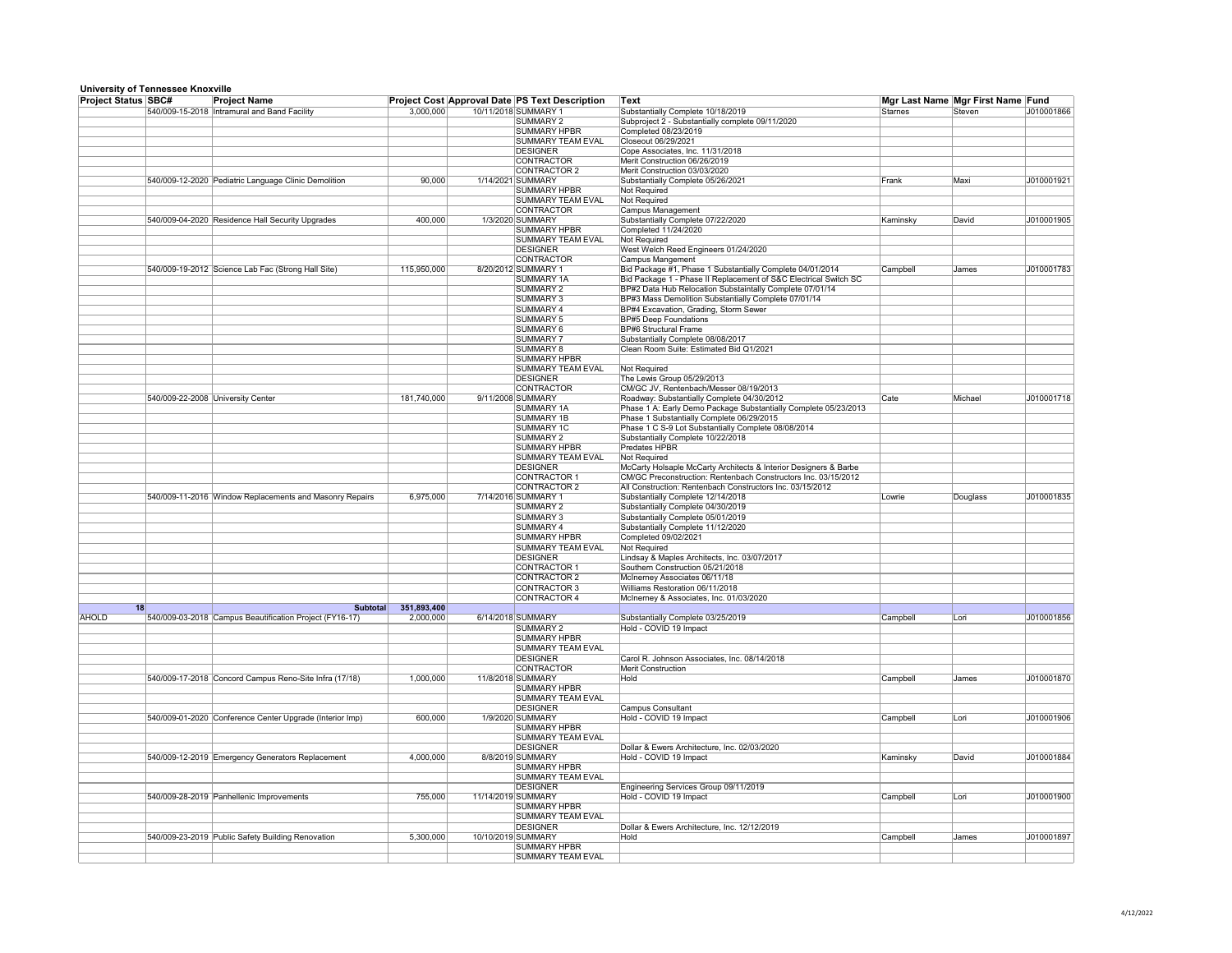|                            | <b>UNIVERSITY OF FEMILESSEE INTOXYLIIE</b> |                                                          |             |                    |                                                       |                                                                  |           |                                   |            |
|----------------------------|--------------------------------------------|----------------------------------------------------------|-------------|--------------------|-------------------------------------------------------|------------------------------------------------------------------|-----------|-----------------------------------|------------|
| <b>Project Status SBC#</b> |                                            | <b>Project Name</b>                                      |             |                    | <b>Project Cost Approval Date PS Text Description</b> | Text                                                             |           | Mgr Last Name Mgr First Name Fund |            |
|                            |                                            | 540/009-15-2018 Intramural and Band Facility             | 3,000,000   |                    | 10/11/2018 SUMMARY 1                                  | Substantially Complete 10/18/2019                                | Starnes   | ∣Steven                           | J010001866 |
|                            |                                            |                                                          |             |                    | <b>SUMMARY 2</b>                                      | Subproject 2 - Substantially complete 09/11/2020                 |           |                                   |            |
|                            |                                            |                                                          |             |                    | <b>SUMMARY HPBR</b>                                   | Completed 08/23/2019                                             |           |                                   |            |
|                            |                                            |                                                          |             |                    | <b>SUMMARY TEAM EVAL</b>                              | Closeout 06/29/2021                                              |           |                                   |            |
|                            |                                            |                                                          |             |                    | <b>DESIGNER</b>                                       | Cope Associates, Inc. 11/31/2018                                 |           |                                   |            |
|                            |                                            |                                                          |             |                    | <b>CONTRACTOR</b>                                     | Merit Construction 06/26/2019                                    |           |                                   |            |
|                            |                                            |                                                          |             |                    | <b>CONTRACTOR 2</b>                                   |                                                                  |           |                                   |            |
|                            |                                            |                                                          |             |                    |                                                       | Merit Construction 03/03/2020                                    |           |                                   |            |
|                            |                                            | 540/009-12-2020 Pediatric Language Clinic Demolition     | 90,000      |                    | 1/14/2021 SUMMARY                                     | Substantially Complete 05/26/2021                                | Frank     | Maxi                              | J010001921 |
|                            |                                            |                                                          |             |                    | SUMMARY HPBR                                          | Not Required                                                     |           |                                   |            |
|                            |                                            |                                                          |             |                    | <b>SUMMARY TEAM EVAL</b>                              | <b>Not Required</b>                                              |           |                                   |            |
|                            |                                            |                                                          |             |                    | <b>CONTRACTOR</b>                                     | <b>Campus Management</b>                                         |           |                                   |            |
|                            |                                            | 540/009-04-2020 Residence Hall Security Upgrades         | 400,000     |                    | 1/3/2020 SUMMARY                                      | Substantially Complete 07/22/2020                                | ∣Kaminsky | David                             | J010001905 |
|                            |                                            |                                                          |             |                    | <b>SUMMARY HPBR</b>                                   | Completed 11/24/2020                                             |           |                                   |            |
|                            |                                            |                                                          |             |                    |                                                       |                                                                  |           |                                   |            |
|                            |                                            |                                                          |             |                    | <b>SUMMARY TEAM EVAL</b>                              | Not Required                                                     |           |                                   |            |
|                            |                                            |                                                          |             |                    | <b>DESIGNER</b>                                       | West Welch Reed Engineers 01/24/2020                             |           |                                   |            |
|                            |                                            |                                                          |             |                    | CONTRACTOR                                            | Campus Mangement                                                 |           |                                   |            |
|                            |                                            | 540/009-19-2012 Science Lab Fac (Strong Hall Site)       | 115,950,000 |                    | 8/20/2012 SUMMARY 1                                   | Bid Package #1, Phase 1 Substantially Complete 04/01/2014        | Campbell  | James                             | J010001783 |
|                            |                                            |                                                          |             |                    | SUMMARY 1A                                            | Bid Package 1 - Phase II Replacement of S&C Electrical Switch SC |           |                                   |            |
|                            |                                            |                                                          |             |                    | <b>SUMMARY 2</b>                                      | BP#2 Data Hub Relocation Substaintally Complete 07/01/14         |           |                                   |            |
|                            |                                            |                                                          |             |                    |                                                       |                                                                  |           |                                   |            |
|                            |                                            |                                                          |             |                    | <b>SUMMARY 3</b>                                      | BP#3 Mass Demolition Substantially Complete 07/01/14             |           |                                   |            |
|                            |                                            |                                                          |             |                    | <b>SUMMARY 4</b>                                      | BP#4 Excavation, Grading, Storm Sewer                            |           |                                   |            |
|                            |                                            |                                                          |             |                    | <b>SUMMARY 5</b>                                      | <b>BP#5 Deep Foundations</b>                                     |           |                                   |            |
|                            |                                            |                                                          |             |                    | SUMMARY 6                                             | <b>BP#6 Structural Frame</b>                                     |           |                                   |            |
|                            |                                            |                                                          |             |                    | SUMMARY 7                                             | Substantially Complete 08/08/2017                                |           |                                   |            |
|                            |                                            |                                                          |             |                    | <b>SUMMARY 8</b>                                      | Clean Room Suite: Estimated Bid Q1/2021                          |           |                                   |            |
|                            |                                            |                                                          |             |                    |                                                       |                                                                  |           |                                   |            |
|                            |                                            |                                                          |             |                    | <b>SUMMARY HPBR</b>                                   |                                                                  |           |                                   |            |
|                            |                                            |                                                          |             |                    | <b>SUMMARY TEAM EVAL</b>                              | Not Required                                                     |           |                                   |            |
|                            |                                            |                                                          |             |                    | <b>DESIGNER</b>                                       | The Lewis Group 05/29/2013                                       |           |                                   |            |
|                            |                                            |                                                          |             |                    | CONTRACTOR                                            | CM/GC JV, Rentenbach/Messer 08/19/2013                           |           |                                   |            |
|                            |                                            | 540/009-22-2008 University Center                        | 181,740,000 |                    | 9/11/2008 SUMMARY                                     | Roadway: Substantially Complete 04/30/2012                       | Cate      | Michael                           | J010001718 |
|                            |                                            |                                                          |             |                    | SUMMARY 1A                                            |                                                                  |           |                                   |            |
|                            |                                            |                                                          |             |                    |                                                       | Phase 1 A: Early Demo Package Substantially Complete 05/23/2013  |           |                                   |            |
|                            |                                            |                                                          |             |                    | <b>SUMMARY 1B</b>                                     | Phase 1 Substantially Complete 06/29/2015                        |           |                                   |            |
|                            |                                            |                                                          |             |                    | <b>SUMMARY 1C</b>                                     | Phase 1 C S-9 Lot Substantially Complete 08/08/2014              |           |                                   |            |
|                            |                                            |                                                          |             |                    | <b>SUMMARY 2</b>                                      | Substantially Complete 10/22/2018                                |           |                                   |            |
|                            |                                            |                                                          |             |                    | <b>SUMMARY HPBR</b>                                   | <b>Predates HPBR</b>                                             |           |                                   |            |
|                            |                                            |                                                          |             |                    | <b>SUMMARY TEAM EVAL</b>                              | Not Required                                                     |           |                                   |            |
|                            |                                            |                                                          |             |                    |                                                       |                                                                  |           |                                   |            |
|                            |                                            |                                                          |             |                    | <b>DESIGNER</b>                                       | McCarty Holsaple McCarty Architects & Interior Designers & Barbe |           |                                   |            |
|                            |                                            |                                                          |             |                    | CONTRACTOR 1                                          | CM/GC Preconstruction: Rentenbach Constructors Inc. 03/15/2012   |           |                                   |            |
|                            |                                            |                                                          |             |                    | CONTRACTOR 2                                          | All Construction: Rentenbach Constructors Inc. 03/15/2012        |           |                                   |            |
|                            |                                            | 540/009-11-2016 Window Replacements and Masonry Repairs  | 6,975,000   |                    | 7/14/2016 SUMMARY 1                                   | Substantially Complete 12/14/2018                                | Lowrie    | Douglass                          | J010001835 |
|                            |                                            |                                                          |             |                    | SUMMARY 2                                             | Substantially Complete 04/30/2019                                |           |                                   |            |
|                            |                                            |                                                          |             |                    |                                                       |                                                                  |           |                                   |            |
|                            |                                            |                                                          |             |                    | <b>SUMMARY 3</b>                                      | Substantially Complete 05/01/2019                                |           |                                   |            |
|                            |                                            |                                                          |             |                    | <b>SUMMARY 4</b>                                      | Substantially Complete 11/12/2020                                |           |                                   |            |
|                            |                                            |                                                          |             |                    | <b>SUMMARY HPBR</b>                                   | Completed 09/02/2021                                             |           |                                   |            |
|                            |                                            |                                                          |             |                    | <b>SUMMARY TEAM EVAL</b>                              | <b>Not Required</b>                                              |           |                                   |            |
|                            |                                            |                                                          |             |                    | <b>DESIGNER</b>                                       | Lindsay & Maples Architects, Inc. 03/07/2017                     |           |                                   |            |
|                            |                                            |                                                          |             |                    |                                                       |                                                                  |           |                                   |            |
|                            |                                            |                                                          |             |                    | <b>CONTRACTOR 1</b>                                   | Southern Construction 05/21/2018                                 |           |                                   |            |
|                            |                                            |                                                          |             |                    | CONTRACTOR 2                                          | McInerney Associates 06/11/18                                    |           |                                   |            |
|                            |                                            |                                                          |             |                    | CONTRACTOR 3                                          | Williams Restoration 06/11/2018                                  |           |                                   |            |
|                            |                                            |                                                          |             |                    | CONTRACTOR 4                                          | McInerney & Associates, Inc. 01/03/2020                          |           |                                   |            |
| 18                         |                                            |                                                          |             |                    |                                                       |                                                                  |           |                                   |            |
|                            |                                            | <b>Subtotal</b>                                          | 351,893,400 |                    |                                                       |                                                                  |           |                                   |            |
| <b>AHOLD</b>               |                                            | 540/009-03-2018 Campus Beautification Project (FY16-17)  | 2,000,000   |                    | 6/14/2018 SUMMARY                                     | Substantially Complete 03/25/2019                                | Campbell  | Lori                              | J010001856 |
|                            |                                            |                                                          |             |                    | SUMMARY 2                                             | Hold - COVID 19 Impact                                           |           |                                   |            |
|                            |                                            |                                                          |             |                    | <b>SUMMARY HPBR</b>                                   |                                                                  |           |                                   |            |
|                            |                                            |                                                          |             |                    | <b>SUMMARY TEAM EVAL</b>                              |                                                                  |           |                                   |            |
|                            |                                            |                                                          |             |                    | <b>DESIGNER</b>                                       |                                                                  |           |                                   |            |
|                            |                                            |                                                          |             |                    |                                                       | Carol R. Johnson Associates, Inc. 08/14/2018                     |           |                                   |            |
|                            |                                            |                                                          |             |                    | CONTRACTOR                                            | Merit Construction                                               |           |                                   |            |
|                            |                                            | 540/009-17-2018 Concord Campus Reno-Site Infra (17/18)   | 1,000,000   |                    | 11/8/2018 SUMMARY                                     | Hold                                                             | Campbell  | James                             | J010001870 |
|                            |                                            |                                                          |             |                    | SUMMARY HPBR                                          |                                                                  |           |                                   |            |
|                            |                                            |                                                          |             |                    | <b>SUMMARY TEAM EVAL</b>                              |                                                                  |           |                                   |            |
|                            |                                            |                                                          |             |                    | <b>DESIGNER</b>                                       | <b>Campus Consultant</b>                                         |           |                                   |            |
|                            |                                            | 540/009-01-2020 Conference Center Upgrade (Interior Imp) | 600,000     |                    | 1/9/2020 SUMMARY                                      | Hold - COVID 19 Impact                                           | Campbell  |                                   | J010001906 |
|                            |                                            |                                                          |             |                    |                                                       |                                                                  |           | Lori                              |            |
|                            |                                            |                                                          |             |                    | <b>SUMMARY HPBR</b>                                   |                                                                  |           |                                   |            |
|                            |                                            |                                                          |             |                    | <b>SUMMARY TEAM EVAL</b>                              |                                                                  |           |                                   |            |
|                            |                                            |                                                          |             |                    | <b>DESIGNER</b>                                       | Dollar & Ewers Architecture, Inc. 02/03/2020                     |           |                                   |            |
|                            |                                            | 540/009-12-2019 Emergency Generators Replacement         | 4,000,000   |                    | 8/8/2019 SUMMARY                                      | Hold - COVID 19 Impact                                           | Kaminsky  | David                             | J010001884 |
|                            |                                            |                                                          |             |                    | <b>SUMMARY HPBR</b>                                   |                                                                  |           |                                   |            |
|                            |                                            |                                                          |             |                    |                                                       |                                                                  |           |                                   |            |
|                            |                                            |                                                          |             |                    | SUMMARY TEAM EVAL                                     |                                                                  |           |                                   |            |
|                            |                                            |                                                          |             |                    | DESIGNER                                              | Engineering Services Group 09/11/2019                            |           |                                   |            |
|                            |                                            | 540/009-28-2019 Panhellenic Improvements                 | 755,000     | 11/14/2019 SUMMARY |                                                       | Hold - COVID 19 Impact                                           | Campbell  | Lori                              | J010001900 |
|                            |                                            |                                                          |             |                    | <b>SUMMARY HPBR</b>                                   |                                                                  |           |                                   |            |
|                            |                                            |                                                          |             |                    | <b>SUMMARY TEAM EVAL</b>                              |                                                                  |           |                                   |            |
|                            |                                            |                                                          |             |                    | <b>DESIGNER</b>                                       | Dollar & Ewers Architecture, Inc. 12/12/2019                     |           |                                   |            |
|                            |                                            |                                                          |             |                    |                                                       |                                                                  |           |                                   |            |
|                            |                                            | 540/009-23-2019 Public Safety Building Renovation        | 5,300,000   | 10/10/2019 SUMMARY |                                                       | Hold                                                             | Campbell  | James                             | J010001897 |
|                            |                                            |                                                          |             |                    | SUMMARY HPBR                                          |                                                                  |           |                                   |            |
|                            |                                            |                                                          |             |                    | SUMMARY TEAM EVAL                                     |                                                                  |           |                                   |            |
|                            |                                            |                                                          |             |                    |                                                       |                                                                  |           |                                   |            |